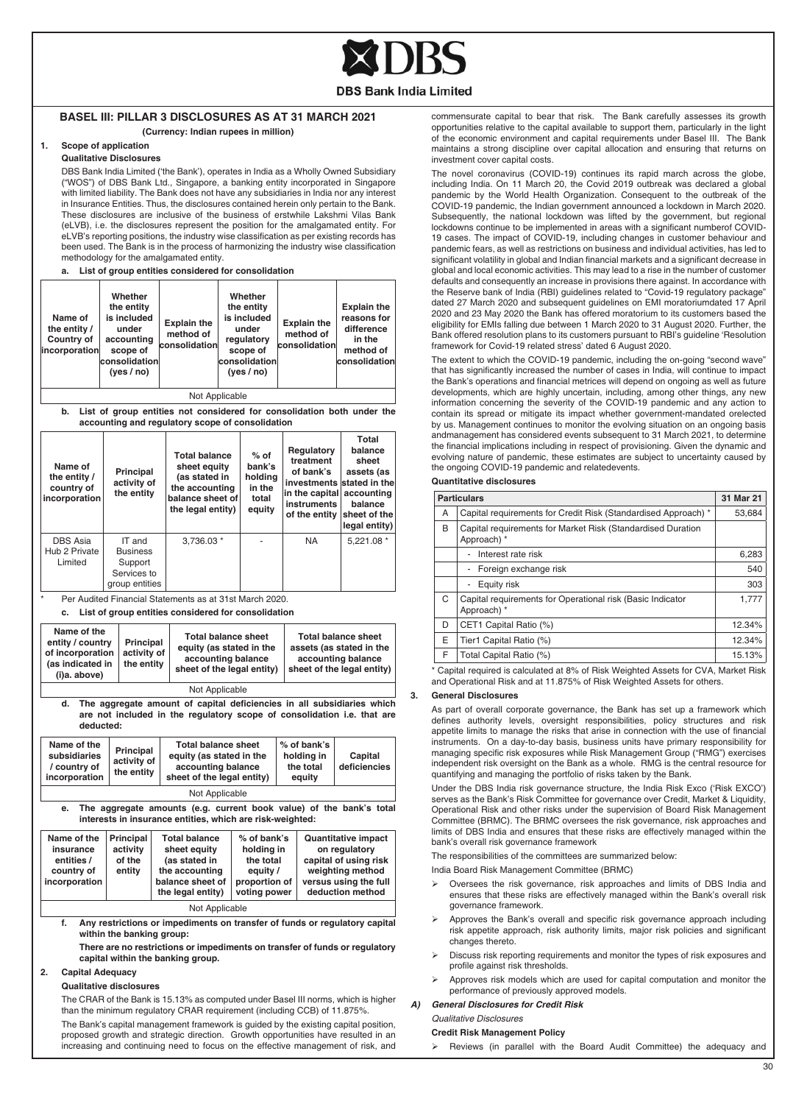

## **Basel III: Pillar 3 Disclosures as at 31 March 2021**

## **(Currency: Indian rupees in million)**

#### **1. Scope of application Qualitative Disclosures**

DBS Bank India Limited ('the Bank'), operates in India as a Wholly Owned Subsidiary ("WOS") of DBS Bank Ltd., Singapore, a banking entity incorporated in Singapore with limited liability. The Bank does not have any subsidiaries in India nor any interest in Insurance Entities. Thus, the disclosures contained herein only pertain to the Bank. These disclosures are inclusive of the business of erstwhile Lakshmi Vilas Bank (eLVB), i.e. the disclosures represent the position for the amalgamated entity. For eLVB's reporting positions, the industry wise classification as per existing records has been used. The Bank is in the process of harmonizing the industry wise classification methodology for the amalgamated entity.

#### **a. List of group entities considered for consolidation**

| Name of<br>the entity /<br>Country of<br>incorporation                                                                                                                                                         | Whether<br>the entity<br>is included<br>under<br>accounting<br>scope of<br>consolidation<br>(yes / no) | <b>Explain the</b><br>method of<br>consolidation                                                                                                                    |  | Whether<br>the entity<br>is included<br>under<br>regulatory<br>scope of<br>consolidation<br>(yes/no) | <b>Explain the</b><br>method of<br>consolidation                                                           | <b>Explain the</b><br>reasons for<br>difference<br>in the<br>method of<br>consolidation                                               |
|----------------------------------------------------------------------------------------------------------------------------------------------------------------------------------------------------------------|--------------------------------------------------------------------------------------------------------|---------------------------------------------------------------------------------------------------------------------------------------------------------------------|--|------------------------------------------------------------------------------------------------------|------------------------------------------------------------------------------------------------------------|---------------------------------------------------------------------------------------------------------------------------------------|
|                                                                                                                                                                                                                |                                                                                                        | Not Applicable                                                                                                                                                      |  |                                                                                                      |                                                                                                            |                                                                                                                                       |
| b.                                                                                                                                                                                                             |                                                                                                        | List of group entities not considered for consolidation both under the<br>accounting and regulatory scope of consolidation                                          |  |                                                                                                      |                                                                                                            |                                                                                                                                       |
| Name of<br>the entity /<br>country of<br>incorporation                                                                                                                                                         | Principal<br>activity of<br>the entity                                                                 | <b>Total balance</b><br>sheet equity<br>(as stated in<br>the accounting<br>balance sheet of<br>the legal entity)                                                    |  | $%$ of<br>bank's<br>holding<br>in the<br>total<br>equity                                             | Regulatory<br>treatment<br>of bank's<br>in the capital<br>instruments<br>of the entity                     | Total<br>balance<br>sheet<br>assets (as<br>investments stated in the<br>accounting<br>balance<br>sheet of the<br>legal entity)        |
| <b>DBS Asia</b><br>Hub 2 Private<br>Limited                                                                                                                                                                    | IT and<br><b>Business</b><br>Support<br>Services to<br>group entities                                  | 3,736.03 *                                                                                                                                                          |  |                                                                                                      | <b>NA</b>                                                                                                  | 5,221.08 *                                                                                                                            |
| Name of the<br>entity / country<br>Principal<br>of incorporation<br>activity of<br>(as indicated in<br>the entity<br>(i)a. above)                                                                              |                                                                                                        | <b>Total balance sheet</b><br>equity (as stated in the<br>accounting balance<br>sheet of the legal entity)                                                          |  |                                                                                                      | <b>Total balance sheet</b><br>assets (as stated in the<br>accounting balance<br>sheet of the legal entity) |                                                                                                                                       |
| d.<br>deducted:                                                                                                                                                                                                |                                                                                                        | Not Applicable<br>The aggregate amount of capital deficiencies in all subsidiaries which<br>are not included in the regulatory scope of consolidation i.e. that are |  |                                                                                                      |                                                                                                            |                                                                                                                                       |
| Name of the<br>subsidiaries<br>/ country of<br>incorporation                                                                                                                                                   | Principal<br>activity of<br>the entity                                                                 | <b>Total balance sheet</b><br>equity (as stated in the<br>accounting balance<br>sheet of the legal entity)                                                          |  |                                                                                                      | % of bank's<br>holding in<br>the total<br>equity                                                           | Capital<br>deficiencies                                                                                                               |
| Not Applicable                                                                                                                                                                                                 |                                                                                                        |                                                                                                                                                                     |  |                                                                                                      |                                                                                                            |                                                                                                                                       |
| The aggregate amounts (e.g. current book value) of the bank's total<br>e.<br>interests in insurance entities, which are risk-weighted:                                                                         |                                                                                                        |                                                                                                                                                                     |  |                                                                                                      |                                                                                                            |                                                                                                                                       |
| Name of the<br>Principal<br>insurance<br>activity<br>entities /<br>of the<br>country of<br>entity<br>incorporation                                                                                             |                                                                                                        | <b>Total balance</b><br>sheet equity<br>(as stated in<br>the accounting<br>balance sheet of<br>the legal entity)                                                    |  | % of bank's<br>holding in<br>the total<br>equity /<br>proportion of<br>voting power                  |                                                                                                            | <b>Quantitative impact</b><br>on regulatory<br>capital of using risk<br>weighting method<br>versus using the full<br>deduction method |
| Not Applicable<br>f.<br>Any restrictions or impediments on transfer of funds or regulatory capital<br>within the banking group:<br>There are no restrictions or impediments on transfer of funds or regulatory |                                                                                                        |                                                                                                                                                                     |  |                                                                                                      |                                                                                                            |                                                                                                                                       |
|                                                                                                                                                                                                                |                                                                                                        | capital within the banking group.                                                                                                                                   |  |                                                                                                      |                                                                                                            |                                                                                                                                       |

#### **Qualitative disclosures**

The CRAR of the Bank is 15.13% as computed under Basel III norms, which is higher than the minimum regulatory CRAR requirement (including CCB) of 11.875%.

The Bank's capital management framework is guided by the existing capital position, proposed growth and strategic direction. Growth opportunities have resulted in an increasing and continuing need to focus on the effective management of risk, and commensurate capital to bear that risk. The Bank carefully assesses its growth opportunities relative to the capital available to support them, particularly in the light of the economic environment and capital requirements under Basel III. The Bank maintains a strong discipline over capital allocation and ensuring that returns on investment cover capital costs.

The novel coronavirus (COVID-19) continues its rapid march across the globe, including India. On 11 March 20, the Covid 2019 outbreak was declared a global pandemic by the World Health Organization. Consequent to the outbreak of the COVID-19 pandemic, the Indian government announced a lockdown in March 2020. Subsequently, the national lockdown was lifted by the government, but regional lockdowns continue to be implemented in areas with a significant numberof COVID-19 cases. The impact of COVID-19, including changes in customer behaviour and pandemic fears, as well as restrictions on business and individual activities, has led to significant volatility in global and Indian financial markets and a significant decrease in global and local economic activities. This may lead to a rise in the number of customer defaults and consequently an increase in provisions there against. In accordance with the Reserve bank of India (RBI) guidelines related to "Covid-19 regulatory package" dated 27 March 2020 and subsequent guidelines on EMI moratoriumdated 17 April 2020 and 23 May 2020 the Bank has offered moratorium to its customers based the eligibility for EMIs falling due between 1 March 2020 to 31 August 2020. Further, the Bank offered resolution plans to its customers pursuant to RBI's guideline 'Resolution framework for Covid-19 related stress' dated 6 August 2020.

The extent to which the COVID-19 pandemic, including the on-going "second wave" that has significantly increased the number of cases in India, will continue to impact the Bank's operations and financial metrices will depend on ongoing as well as future developments, which are highly uncertain, including, among other things, any new information concerning the severity of the COVID-19 pandemic and any action to contain its spread or mitigate its impact whether government-mandated orelected by us. Management continues to monitor the evolving situation on an ongoing basis andmanagement has considered events subsequent to 31 March 2021, to determine the financial implications including in respect of provisioning. Given the dynamic and evolving nature of pandemic, these estimates are subject to uncertainty caused by the ongoing COVID-19 pandemic and relatedevents.

## **Quantitative disclosures**

|   | <b>Particulars</b>                                                         | 31 Mar 21 |
|---|----------------------------------------------------------------------------|-----------|
| A | Capital requirements for Credit Risk (Standardised Approach) *             | 53.684    |
| B | Capital requirements for Market Risk (Standardised Duration<br>Approach) * |           |
|   | Interest rate risk<br>$\overline{\phantom{0}}$                             | 6,283     |
|   | Foreign exchange risk<br>$\overline{\phantom{a}}$                          | 540       |
|   | Equity risk<br>$\overline{\phantom{a}}$                                    | 303       |
| C | Capital requirements for Operational risk (Basic Indicator<br>Approach) *  | 1.777     |
| D | CET1 Capital Ratio (%)                                                     | 12.34%    |
| E | Tier1 Capital Ratio (%)                                                    | 12.34%    |
| F | Total Capital Ratio (%)                                                    | 15.13%    |
|   |                                                                            |           |

\* Capital required is calculated at 8% of Risk Weighted Assets for CVA, Market Risk and Operational Risk and at 11.875% of Risk Weighted Assets for others.

#### **3. General Disclosures**

As part of overall corporate governance, the Bank has set up a framework which defines authority levels, oversight responsibilities, policy structures and risk appetite limits to manage the risks that arise in connection with the use of financial instruments. On a day-to-day basis, business units have primary responsibility for managing specific risk exposures while Risk Management Group ("RMG") exercises independent risk oversight on the Bank as a whole. RMG is the central resource for quantifying and managing the portfolio of risks taken by the Bank.

Under the DBS India risk governance structure, the India Risk Exco ('Risk EXCO') serves as the Bank's Risk Committee for governance over Credit, Market & Liquidity, Operational Risk and other risks under the supervision of Board Risk Management Committee (BRMC). The BRMC oversees the risk governance, risk approaches and limits of DBS India and ensures that these risks are effectively managed within the bank's overall risk governance framework

The responsibilities of the committees are summarized below:

India Board Risk Management Committee (BRMC)

- Oversees the risk governance, risk approaches and limits of DBS India and ensures that these risks are effectively managed within the Bank's overall risk governance framework.
- Approves the Bank's overall and specific risk governance approach including risk appetite approach, risk authority limits, major risk policies and significant changes thereto.
- Discuss risk reporting requirements and monitor the types of risk exposures and profile against risk thresholds.
- Approves risk models which are used for capital computation and monitor the performance of previously approved models.

#### *A) General Disclosures for Credit Risk*

*Qualitative Disclosures*

#### **Credit Risk Management Policy**

 Reviews (in parallel with the Board Audit Committee) the adequacy and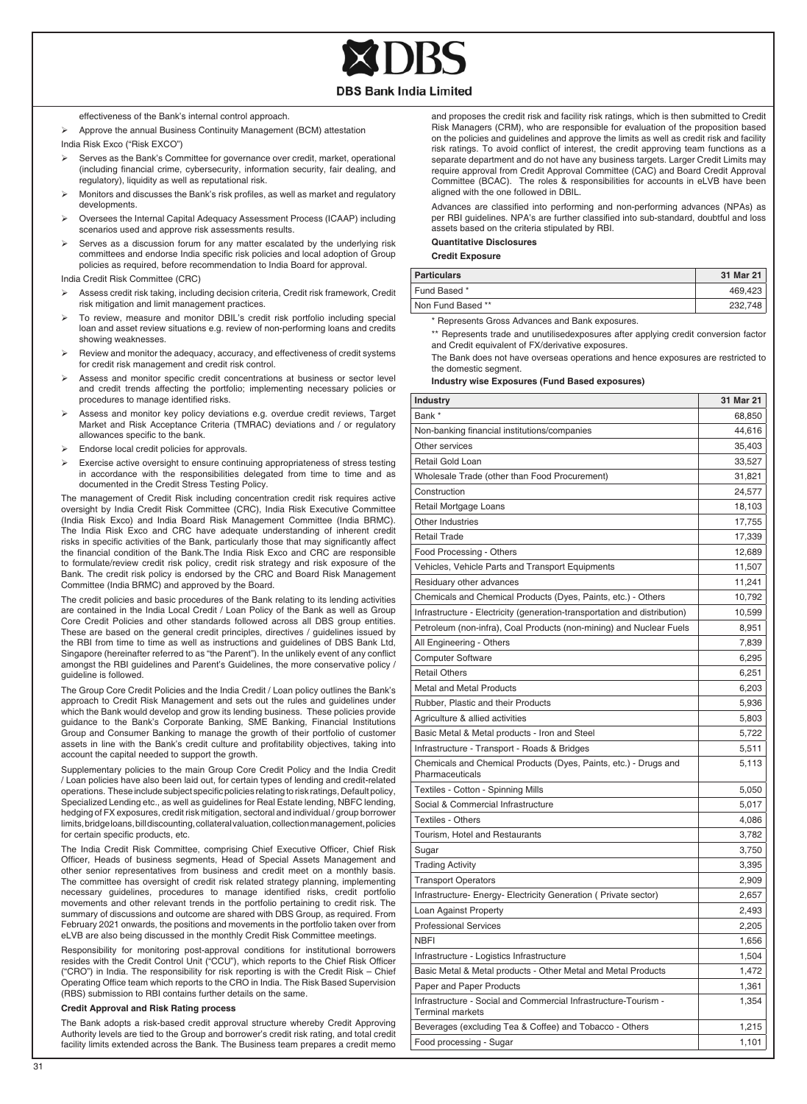

effectiveness of the Bank's internal control approach.

- Approve the annual Business Continuity Management (BCM) attestation India Risk Exco ("Risk EXCO")
- Serves as the Bank's Committee for governance over credit, market, operational (including financial crime, cybersecurity, information security, fair dealing, and regulatory), liquidity as well as reputational risk.
- Monitors and discusses the Bank's risk profiles, as well as market and regulatory developments.
- Oversees the Internal Capital Adequacy Assessment Process (ICAAP) including scenarios used and approve risk assessments results.
- Serves as a discussion forum for any matter escalated by the underlying risk committees and endorse India specific risk policies and local adoption of Group policies as required, before recommendation to India Board for approval.

India Credit Risk Committee (CRC)

- Assess credit risk taking, including decision criteria, Credit risk framework, Credit risk mitigation and limit management practices.
- To review, measure and monitor DBIL's credit risk portfolio including special loan and asset review situations e.g. review of non-performing loans and credits showing weaknesses.
- Review and monitor the adequacy, accuracy, and effectiveness of credit systems for credit risk management and credit risk control.
- Assess and monitor specific credit concentrations at business or sector level and credit trends affecting the portfolio; implementing necessary policies or procedures to manage identified risks.
- Assess and monitor key policy deviations e.g. overdue credit reviews. Target Market and Risk Acceptance Criteria (TMRAC) deviations and / or regulatory allowances specific to the bank.
- Endorse local credit policies for approvals.
- Exercise active oversight to ensure continuing appropriateness of stress testing in accordance with the responsibilities delegated from time to time and as documented in the Credit Stress Testing Policy.

The management of Credit Risk including concentration credit risk requires active oversight by India Credit Risk Committee (CRC), India Risk Executive Committee (India Risk Exco) and India Board Risk Management Committee (India BRMC). The India Risk Exco and CRC have adequate understanding of inherent credit risks in specific activities of the Bank, particularly those that may significantly affect the financial condition of the Bank.The India Risk Exco and CRC are responsible to formulate/review credit risk policy, credit risk strategy and risk exposure of the Bank. The credit risk policy is endorsed by the CRC and Board Risk Management Committee (India BRMC) and approved by the Board.

The credit policies and basic procedures of the Bank relating to its lending activities are contained in the India Local Credit / Loan Policy of the Bank as well as Group Core Credit Policies and other standards followed across all DBS group entities. These are based on the general credit principles, directives / guidelines issued by the RBI from time to time as well as instructions and guidelines of DBS Bank Ltd, Singapore (hereinafter referred to as "the Parent"). In the unlikely event of any conflict amongst the RBI guidelines and Parent's Guidelines, the more conservative policy / guideline is followed.

The Group Core Credit Policies and the India Credit / Loan policy outlines the Bank's approach to Credit Risk Management and sets out the rules and guidelines under which the Bank would develop and grow its lending business. These policies provide guidance to the Bank's Corporate Banking, SME Banking, Financial Institutions Group and Consumer Banking to manage the growth of their portfolio of customer assets in line with the Bank's credit culture and profitability objectives, taking into account the capital needed to support the growth.

Supplementary policies to the main Group Core Credit Policy and the India Credit / Loan policies have also been laid out, for certain types of lending and credit-related operations. These include subject specific policies relating to risk ratings, Default policy, Specialized Lending etc., as well as guidelines for Real Estate lending, NBFC lending, hedging of FX exposures, credit risk mitigation, sectoral and individual / group borrower limits, bridge loans, bill discounting, collateral valuation, collection management, policies for certain specific products, etc.

The India Credit Risk Committee, comprising Chief Executive Officer, Chief Risk Officer, Heads of business segments, Head of Special Assets Management and other senior representatives from business and credit meet on a monthly basis. The committee has oversight of credit risk related strategy planning, implementing necessary guidelines, procedures to manage identified risks, credit portfolio movements and other relevant trends in the portfolio pertaining to credit risk. The summary of discussions and outcome are shared with DBS Group, as required. From February 2021 onwards, the positions and movements in the portfolio taken over from eLVB are also being discussed in the monthly Credit Risk Committee meetings.

Responsibility for monitoring post-approval conditions for institutional borrowers resides with the Credit Control Unit ("CCU"), which reports to the Chief Risk Officer ("CRO") in India. The responsibility for risk reporting is with the Credit Risk – Chief Operating Office team which reports to the CRO in India. The Risk Based Supervision (RBS) submission to RBI contains further details on the same.

#### **Credit Approval and Risk Rating process**

The Bank adopts a risk-based credit approval structure whereby Credit Approving Authority levels are tied to the Group and borrower's credit risk rating, and total credit facility limits extended across the Bank. The Business team prepares a credit memo

and proposes the credit risk and facility risk ratings, which is then submitted to Credit Risk Managers (CRM), who are responsible for evaluation of the proposition based on the policies and guidelines and approve the limits as well as credit risk and facility risk ratings. To avoid conflict of interest, the credit approving team functions as a separate department and do not have any business targets. Larger Credit Limits may require approval from Credit Approval Committee (CAC) and Board Credit Approval Committee (BCAC). The roles & responsibilities for accounts in eLVB have been aligned with the one followed in DBIL.

Advances are classified into performing and non-performing advances (NPAs) as per RBI guidelines. NPA's are further classified into sub-standard, doubtful and loss assets based on the criteria stipulated by RBI.

#### **Quantitative Disclosures**

 **Credit Exposure**

| <b>Particulars</b> | 31 Mar 21 |
|--------------------|-----------|
| Fund Based *       | 469.423   |
| Non Fund Based **  | 232.748   |

\* Represents Gross Advances and Bank exposures.

\*\* Represents trade and unutilisedexposures after applying credit conversion factor and Credit equivalent of FX/derivative exposures.

The Bank does not have overseas operations and hence exposures are restricted to the domestic segment.

#### **Industry wise Exposures (Fund Based exposures)**

| Industry                                                                                   | 31 Mar 21 |
|--------------------------------------------------------------------------------------------|-----------|
| Bank *                                                                                     | 68,850    |
| Non-banking financial institutions/companies                                               | 44,616    |
| Other services                                                                             | 35,403    |
| Retail Gold Loan                                                                           | 33,527    |
| Wholesale Trade (other than Food Procurement)                                              | 31,821    |
| Construction                                                                               | 24,577    |
| Retail Mortgage Loans                                                                      | 18,103    |
| Other Industries                                                                           | 17,755    |
| <b>Retail Trade</b>                                                                        | 17,339    |
| Food Processing - Others                                                                   | 12,689    |
| Vehicles, Vehicle Parts and Transport Equipments                                           | 11,507    |
| Residuary other advances                                                                   | 11,241    |
| Chemicals and Chemical Products (Dyes, Paints, etc.) - Others                              | 10,792    |
| Infrastructure - Electricity (generation-transportation and distribution)                  | 10,599    |
| Petroleum (non-infra), Coal Products (non-mining) and Nuclear Fuels                        | 8,951     |
| All Engineering - Others                                                                   | 7,839     |
| <b>Computer Software</b>                                                                   | 6,295     |
| <b>Retail Others</b>                                                                       | 6,251     |
| Metal and Metal Products                                                                   | 6,203     |
| Rubber, Plastic and their Products                                                         | 5,936     |
| Agriculture & allied activities                                                            | 5,803     |
| Basic Metal & Metal products - Iron and Steel                                              | 5,722     |
| Infrastructure - Transport - Roads & Bridges                                               | 5,511     |
| Chemicals and Chemical Products (Dyes, Paints, etc.) - Drugs and<br>Pharmaceuticals        | 5,113     |
| Textiles - Cotton - Spinning Mills                                                         | 5,050     |
| Social & Commercial Infrastructure                                                         | 5,017     |
| Textiles - Others                                                                          | 4,086     |
| Tourism, Hotel and Restaurants                                                             | 3,782     |
| Sugar                                                                                      | 3,750     |
| <b>Trading Activity</b>                                                                    | 3,395     |
| <b>Transport Operators</b>                                                                 | 2,909     |
| Infrastructure- Energy- Electricity Generation ( Private sector)                           | 2,657     |
| Loan Against Property                                                                      | 2,493     |
| <b>Professional Services</b>                                                               | 2,205     |
| <b>NBFI</b>                                                                                | 1,656     |
| Infrastructure - Logistics Infrastructure                                                  | 1,504     |
| Basic Metal & Metal products - Other Metal and Metal Products                              | 1,472     |
| Paper and Paper Products                                                                   | 1,361     |
| Infrastructure - Social and Commercial Infrastructure-Tourism -<br><b>Terminal markets</b> | 1,354     |
| Beverages (excluding Tea & Coffee) and Tobacco - Others                                    | 1,215     |
| Food processing - Sugar                                                                    | 1,101     |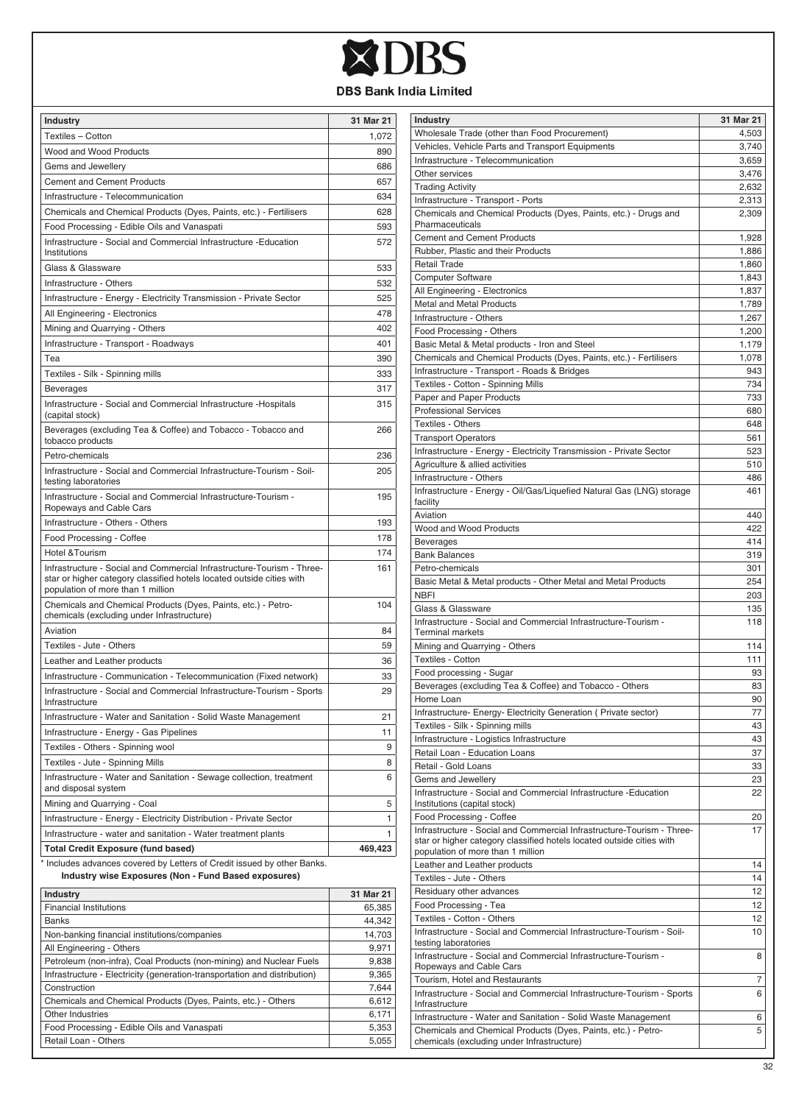

| Industry                                                                                                                                                                             | 31 Mar 21 |
|--------------------------------------------------------------------------------------------------------------------------------------------------------------------------------------|-----------|
| Textiles - Cotton                                                                                                                                                                    | 1,072     |
| Wood and Wood Products                                                                                                                                                               | 890       |
| Gems and Jewellery                                                                                                                                                                   | 686       |
| <b>Cement and Cement Products</b>                                                                                                                                                    | 657       |
| Infrastructure - Telecommunication                                                                                                                                                   | 634       |
| Chemicals and Chemical Products (Dyes, Paints, etc.) - Fertilisers                                                                                                                   | 628       |
| Food Processing - Edible Oils and Vanaspati                                                                                                                                          | 593       |
| Infrastructure - Social and Commercial Infrastructure -Education<br>Institutions                                                                                                     | 572       |
| Glass & Glassware                                                                                                                                                                    | 533       |
| Infrastructure - Others                                                                                                                                                              | 532       |
| Infrastructure - Energy - Electricity Transmission - Private Sector                                                                                                                  | 525       |
| All Engineering - Electronics                                                                                                                                                        | 478       |
| Mining and Quarrying - Others                                                                                                                                                        | 402       |
| Infrastructure - Transport - Roadways                                                                                                                                                | 401       |
| Tea                                                                                                                                                                                  | 390       |
| Textiles - Silk - Spinning mills                                                                                                                                                     | 333       |
| <b>Beverages</b>                                                                                                                                                                     | 317       |
| Infrastructure - Social and Commercial Infrastructure - Hospitals<br>(capital stock)                                                                                                 | 315       |
| Beverages (excluding Tea & Coffee) and Tobacco - Tobacco and<br>tobacco products                                                                                                     | 266       |
| Petro-chemicals                                                                                                                                                                      | 236       |
| Infrastructure - Social and Commercial Infrastructure-Tourism - Soil-<br>testing laboratories                                                                                        | 205       |
| Infrastructure - Social and Commercial Infrastructure-Tourism -<br>Ropeways and Cable Cars                                                                                           | 195       |
| Infrastructure - Others - Others                                                                                                                                                     | 193       |
| Food Processing - Coffee                                                                                                                                                             | 178       |
| <b>Hotel &amp;Tourism</b>                                                                                                                                                            | 174       |
| Infrastructure - Social and Commercial Infrastructure-Tourism - Three-<br>star or higher category classified hotels located outside cities with<br>population of more than 1 million | 161       |
| Chemicals and Chemical Products (Dyes, Paints, etc.) - Petro-<br>chemicals (excluding under Infrastructure)                                                                          | 104       |
| Aviation                                                                                                                                                                             | 84        |
| Textiles - Jute - Others                                                                                                                                                             | 59        |
| Leather and Leather products                                                                                                                                                         | 36        |
| Infrastructure - Communication - Telecommunication (Fixed network)                                                                                                                   | 33        |
| Infrastructure - Social and Commercial Infrastructure-Tourism - Sports<br>Infrastructure                                                                                             | 29        |
| Infrastructure - Water and Sanitation - Solid Waste Management                                                                                                                       | 21        |
| Infrastructure - Energy - Gas Pipelines                                                                                                                                              | 11        |
| Textiles - Others - Spinning wool                                                                                                                                                    | 9         |
| Textiles - Jute - Spinning Mills                                                                                                                                                     | 8         |
| Infrastructure - Water and Sanitation - Sewage collection, treatment<br>and disposal system                                                                                          | 6         |
| Mining and Quarrying - Coal                                                                                                                                                          | 5         |
| Infrastructure - Energy - Electricity Distribution - Private Sector                                                                                                                  | 1         |
| Infrastructure - water and sanitation - Water treatment plants                                                                                                                       | 1         |
| <b>Total Credit Exposure (fund based)</b>                                                                                                                                            | 469,423   |

\* Includes advances covered by Letters of Credit issued by other Banks.  **Industry wise Exposures (Non - Fund Based exposures)**

| <b>Industry</b>                                                           | 31 Mar 21 |
|---------------------------------------------------------------------------|-----------|
| <b>Financial Institutions</b>                                             | 65,385    |
| <b>Banks</b>                                                              | 44.342    |
| Non-banking financial institutions/companies                              | 14.703    |
| All Engineering - Others                                                  | 9.971     |
| Petroleum (non-infra), Coal Products (non-mining) and Nuclear Fuels       | 9,838     |
| Infrastructure - Electricity (generation-transportation and distribution) | 9,365     |
| Construction                                                              | 7.644     |
| Chemicals and Chemical Products (Dyes, Paints, etc.) - Others             | 6.612     |
| Other Industries                                                          | 6,171     |
| Food Processing - Edible Oils and Vanaspati                               | 5,353     |
| Retail Loan - Others                                                      | 5.055     |
|                                                                           |           |

| <b>Industry</b>                                                                                                                                 | 31 Mar 21  |
|-------------------------------------------------------------------------------------------------------------------------------------------------|------------|
| Wholesale Trade (other than Food Procurement)                                                                                                   | 4,503      |
| Vehicles, Vehicle Parts and Transport Equipments                                                                                                | 3,740      |
| Infrastructure - Telecommunication                                                                                                              | 3,659      |
| Other services                                                                                                                                  | 3,476      |
| <b>Trading Activity</b>                                                                                                                         | 2,632      |
| Infrastructure - Transport - Ports                                                                                                              | 2,313      |
| Chemicals and Chemical Products (Dyes, Paints, etc.) - Drugs and<br>Pharmaceuticals                                                             | 2,309      |
| <b>Cement and Cement Products</b>                                                                                                               | 1,928      |
| Rubber, Plastic and their Products                                                                                                              | 1,886      |
| <b>Retail Trade</b>                                                                                                                             | 1,860      |
| <b>Computer Software</b>                                                                                                                        | 1,843      |
| All Engineering - Electronics                                                                                                                   | 1,837      |
| Metal and Metal Products                                                                                                                        | 1,789      |
| Infrastructure - Others                                                                                                                         | 1,267      |
| Food Processing - Others                                                                                                                        | 1,200      |
| Basic Metal & Metal products - Iron and Steel                                                                                                   | 1,179      |
| Chemicals and Chemical Products (Dyes, Paints, etc.) - Fertilisers                                                                              | 1,078      |
| Infrastructure - Transport - Roads & Bridges                                                                                                    | 943<br>734 |
| Textiles - Cotton - Spinning Mills                                                                                                              | 733        |
| Paper and Paper Products<br><b>Professional Services</b>                                                                                        | 680        |
| Textiles - Others                                                                                                                               | 648        |
| <b>Transport Operators</b>                                                                                                                      | 561        |
| Infrastructure - Energy - Electricity Transmission - Private Sector                                                                             | 523        |
| Agriculture & allied activities                                                                                                                 | 510        |
| Infrastructure - Others                                                                                                                         | 486        |
| Infrastructure - Energy - Oil/Gas/Liquefied Natural Gas (LNG) storage<br>facility                                                               | 461        |
| Aviation                                                                                                                                        | 440        |
| Wood and Wood Products                                                                                                                          | 422        |
| Beverages                                                                                                                                       | 414        |
| <b>Bank Balances</b>                                                                                                                            | 319        |
| Petro-chemicals                                                                                                                                 | 301        |
| Basic Metal & Metal products - Other Metal and Metal Products                                                                                   | 254        |
| <b>NBFI</b>                                                                                                                                     | 203        |
| Glass & Glassware                                                                                                                               | 135        |
| Infrastructure - Social and Commercial Infrastructure-Tourism -<br>Terminal markets                                                             | 118        |
| Mining and Quarrying - Others                                                                                                                   | 114        |
| Textiles - Cotton                                                                                                                               | 111        |
| Food processing - Sugar                                                                                                                         | 93         |
| Beverages (excluding Tea & Coffee) and Tobacco - Others                                                                                         | 83         |
| Home Loan                                                                                                                                       | 90         |
| Infrastructure- Energy- Electricity Generation ( Private sector)                                                                                | 77         |
| Textiles - Silk - Spinning mills                                                                                                                | 43         |
| Infrastructure - Logistics Infrastructure                                                                                                       | 43         |
| Retail Loan - Education Loans                                                                                                                   | 37         |
| Retail - Gold Loans                                                                                                                             | 33         |
| Gems and Jewellery                                                                                                                              | 23         |
| Infrastructure - Social and Commercial Infrastructure -Education<br>Institutions (capital stock)                                                | 22         |
| Food Processing - Coffee                                                                                                                        | 20         |
| Infrastructure - Social and Commercial Infrastructure-Tourism - Three-<br>star or higher category classified hotels located outside cities with | 17         |
| population of more than 1 million                                                                                                               |            |
| Leather and Leather products                                                                                                                    | 14         |
| Textiles - Jute - Others                                                                                                                        | 14         |
| Residuary other advances                                                                                                                        | 12         |
| Food Processing - Tea                                                                                                                           | 12         |
| Textiles - Cotton - Others<br>Infrastructure - Social and Commercial Infrastructure-Tourism - Soil-                                             | 12<br>10   |
| testing laboratories<br>Infrastructure - Social and Commercial Infrastructure-Tourism -                                                         | 8          |
| Ropeways and Cable Cars                                                                                                                         |            |
| Tourism, Hotel and Restaurants                                                                                                                  | 7          |
| Infrastructure - Social and Commercial Infrastructure-Tourism - Sports<br>Infrastructure                                                        | 6          |
| Infrastructure - Water and Sanitation - Solid Waste Management                                                                                  | 6          |
| Chemicals and Chemical Products (Dyes, Paints, etc.) - Petro-<br>chemicals (excluding under Infrastructure)                                     | 5          |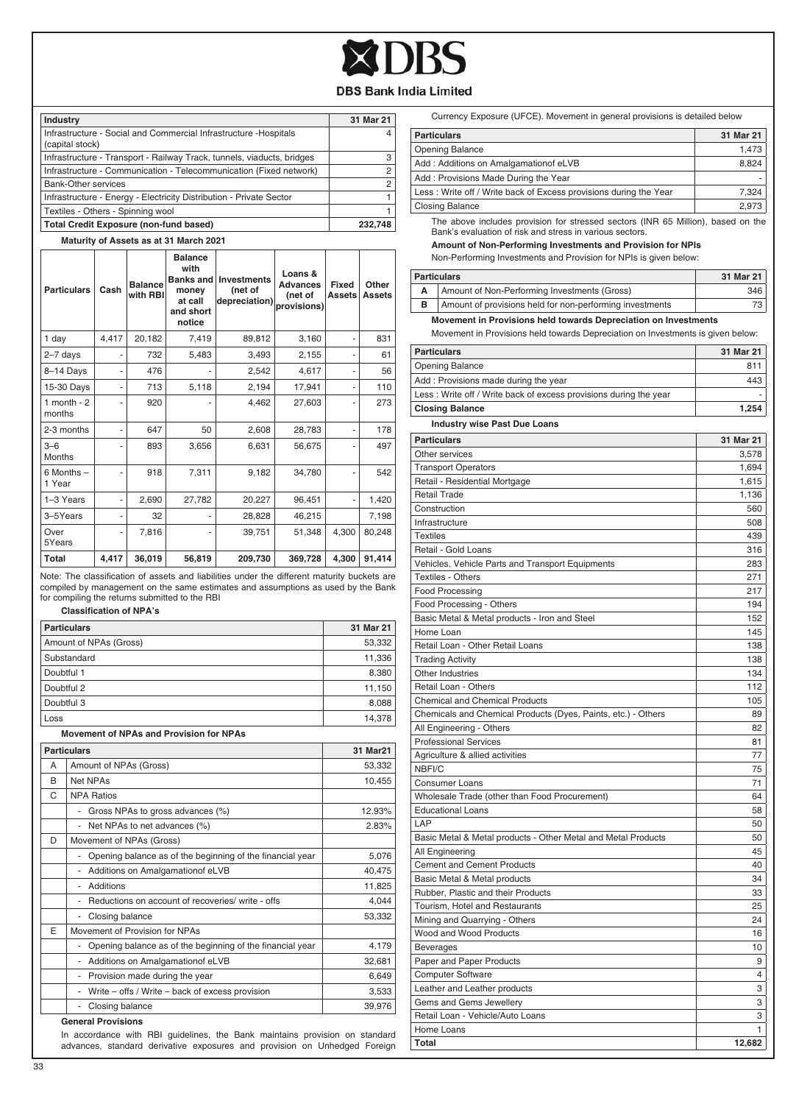

| Industry                                                                             | 31 Mar 21      |
|--------------------------------------------------------------------------------------|----------------|
| Infrastructure - Social and Commercial Infrastructure - Hospitals<br>(capital stock) |                |
| Infrastructure - Transport - Railway Track, tunnels, viaducts, bridges               | 3              |
| Infrastructure - Communication - Telecommunication (Fixed network)                   | $\overline{2}$ |
| Bank-Other services                                                                  | 2              |
| Infrastructure - Energy - Electricity Distribution - Private Sector                  |                |
| Textiles - Others - Spinning wool                                                    |                |
| Total Credit Exposure (non-fund based)                                               | 232.748        |

#### **Maturity of Assets as at 31 March 2021**

| <b>Particulars</b>     | Cash  | <b>Balance</b><br>with RBI | <b>Balance</b><br>with<br>Banks and<br>money<br>at call<br>and short<br>notice | <b>Investments</b><br>(net of<br>depreciation) | Loans &<br><b>Advances</b><br>(net of<br>provisions) | Fixed<br><b>Assets</b> | Other<br><b>Assets</b> |
|------------------------|-------|----------------------------|--------------------------------------------------------------------------------|------------------------------------------------|------------------------------------------------------|------------------------|------------------------|
| 1 day                  | 4,417 | 20,182                     | 7.419                                                                          | 89,812                                         | 3,160                                                |                        | 831                    |
| $2 - 7$ days           |       | 732                        | 5.483                                                                          | 3,493                                          | 2,155                                                |                        | 61                     |
| 8-14 Days              | -     | 476                        |                                                                                | 2,542                                          | 4,617                                                |                        | 56                     |
| 15-30 Days             | -     | 713                        | 5,118                                                                          | 2,194                                          | 17,941                                               |                        | 110                    |
| 1 month $-2$<br>months |       | 920                        |                                                                                | 4,462                                          | 27,603                                               |                        | 273                    |
| 2-3 months             | -     | 647                        | 50                                                                             | 2,608                                          | 28,783                                               |                        | 178                    |
| $3-6$<br><b>Months</b> |       | 893                        | 3,656                                                                          | 6,631                                          | 56,675                                               |                        | 497                    |
| 6 Months -<br>1 Year   |       | 918                        | 7,311                                                                          | 9,182                                          | 34,780                                               |                        | 542                    |
| 1-3 Years              | ٠     | 2,690                      | 27,782                                                                         | 20,227                                         | 96,451                                               |                        | 1,420                  |
| 3-5Years               |       | 32                         |                                                                                | 28,828                                         | 46,215                                               |                        | 7,198                  |
| Over<br>5Years         | -     | 7.816                      |                                                                                | 39.751                                         | 51,348                                               | 4,300                  | 80,248                 |
| <b>Total</b>           | 4,417 | 36,019                     | 56,819                                                                         | 209,730                                        | 369,728                                              | 4,300                  | 91,414                 |

Note: The classification of assets and liabilities under the different maturity buckets are compiled by management on the same estimates and assumptions as used by the Bank for compiling the returns submitted to the RBI

#### **Classification of NPA's**

| <b>Particulars</b>     | 31 Mar 21 |
|------------------------|-----------|
| Amount of NPAs (Gross) | 53,332    |
| Substandard            | 11,336    |
| Doubtful 1             | 8,380     |
| Doubtful 2             | 11,150    |
| Doubtful 3             | 8,088     |
| Loss                   | 14.378    |

#### **Movement of NPAs and Provision for NPAs**

|   | <b>Particulars</b>                                                | 31 Mar21 |
|---|-------------------------------------------------------------------|----------|
| А | Amount of NPAs (Gross)                                            | 53,332   |
| B | Net NPAs                                                          | 10,455   |
| C | <b>NPA Ratios</b>                                                 |          |
|   | Gross NPAs to gross advances (%)                                  | 12.93%   |
|   | Net NPAs to net advances (%)                                      | 2.83%    |
| D | Movement of NPAs (Gross)                                          |          |
|   | Opening balance as of the beginning of the financial year         | 5,076    |
|   | Additions on Amalgamation of eLVB                                 | 40,475   |
|   | <b>Additions</b>                                                  | 11,825   |
|   | Reductions on account of recoveries/ write - offs                 | 4.044    |
|   | Closing balance<br>-                                              | 53,332   |
| E | Movement of Provision for NPAs                                    |          |
|   | Opening balance as of the beginning of the financial year<br>-    | 4,179    |
|   | Additions on Amalgamation of eLVB<br>$\qquad \qquad \blacksquare$ | 32,681   |
|   | Provision made during the year                                    | 6,649    |
|   | Write – offs / Write – back of excess provision                   | 3,533    |
|   | Closing balance                                                   | 39,976   |
|   | Concel Beautainson                                                |          |

#### **General Provisions**

In accordance with RBI guidelines, the Bank maintains provision on standard advances, standard derivative exposures and provision on Unhedged Foreign

|  | Currency Exposure (UFCE). Movement in general provisions is detailed below |
|--|----------------------------------------------------------------------------|
|--|----------------------------------------------------------------------------|

| <b>Particulars</b>                                                | 31 Mar 21 |
|-------------------------------------------------------------------|-----------|
| <b>Opening Balance</b>                                            | 1.473     |
| Add: Additions on Amalgamation of eLVB                            | 8.824     |
| Add: Provisions Made During the Year                              |           |
| Less: Write off / Write back of Excess provisions during the Year | 7.324     |
| <b>Closing Balance</b>                                            | 2.973     |
|                                                                   |           |

The above includes provision for stressed sectors (INR 65 Million), based on the Bank's evaluation of risk and stress in various sectors.

## **Amount of Non-Performing Investments and Provision for NPIs**

Non-Performing Investments and Provision for NPIs is given below:

| <b>Particulars</b>                                       | 31 Mar 21 |
|----------------------------------------------------------|-----------|
| Amount of Non-Performing Investments (Gross)             | 346       |
| Amount of provisions held for non-performing investments | 73        |
|                                                          |           |

**Movement in Provisions held towards Depreciation on Investments**

Movement in Provisions held towards Depreciation on Investments is given below:

| <b>Particulars</b>                                                 | 31 Mar 21      |
|--------------------------------------------------------------------|----------------|
| <b>Opening Balance</b>                                             | 811            |
| Add: Provisions made during the year                               | 443            |
| Less : Write off / Write back of excess provisions during the year | ÷              |
| <b>Closing Balance</b>                                             | 1,254          |
| <b>Industry wise Past Due Loans</b>                                |                |
| <b>Particulars</b>                                                 | 31 Mar 21      |
| Other services                                                     | 3,578          |
| <b>Transport Operators</b>                                         | 1,694          |
| Retail - Residential Mortgage                                      | 1,615          |
| <b>Retail Trade</b>                                                | 1,136          |
| Construction                                                       | 560            |
| Infrastructure                                                     | 508            |
| <b>Textiles</b>                                                    | 439            |
| Retail - Gold Loans                                                | 316            |
| Vehicles, Vehicle Parts and Transport Equipments                   | 283            |
| Textiles - Others                                                  | 271            |
| <b>Food Processing</b>                                             | 217            |
| Food Processing - Others                                           | 194            |
| Basic Metal & Metal products - Iron and Steel                      | 152            |
| Home Loan                                                          | 145            |
| Retail Loan - Other Retail Loans                                   | 138            |
| <b>Trading Activity</b>                                            | 138            |
| Other Industries                                                   | 134            |
| Retail Loan - Others                                               | 112            |
| <b>Chemical and Chemical Products</b>                              | 105            |
| Chemicals and Chemical Products (Dyes, Paints, etc.) - Others      | 89             |
| All Engineering - Others                                           | 82             |
| <b>Professional Services</b>                                       | 81             |
| Agriculture & allied activities                                    | 77             |
| NBFI/C                                                             | 75             |
| Consumer Loans                                                     | 71             |
| Wholesale Trade (other than Food Procurement)                      | 64             |
| <b>Educational Loans</b>                                           | 58             |
| LAP                                                                | 50             |
| Basic Metal & Metal products - Other Metal and Metal Products      | 50             |
| All Engineering                                                    | 45             |
| Cement and Cement Products                                         | 40             |
| Basic Metal & Metal products                                       | 34             |
| Rubber, Plastic and their Products                                 | 33             |
| Tourism, Hotel and Restaurants                                     | 25             |
| Mining and Quarrying - Others                                      | 24             |
| Wood and Wood Products                                             | 16             |
| <b>Beverages</b>                                                   | 10             |
| Paper and Paper Products                                           | 9              |
| Computer Software                                                  | $\overline{4}$ |
| Leather and Leather products                                       | 3              |
| Gems and Gems Jewellery                                            | 3              |
| Retail Loan - Vehicle/Auto Loans                                   | 3              |
| Home Loans                                                         | 1              |
| Total                                                              | 12,682         |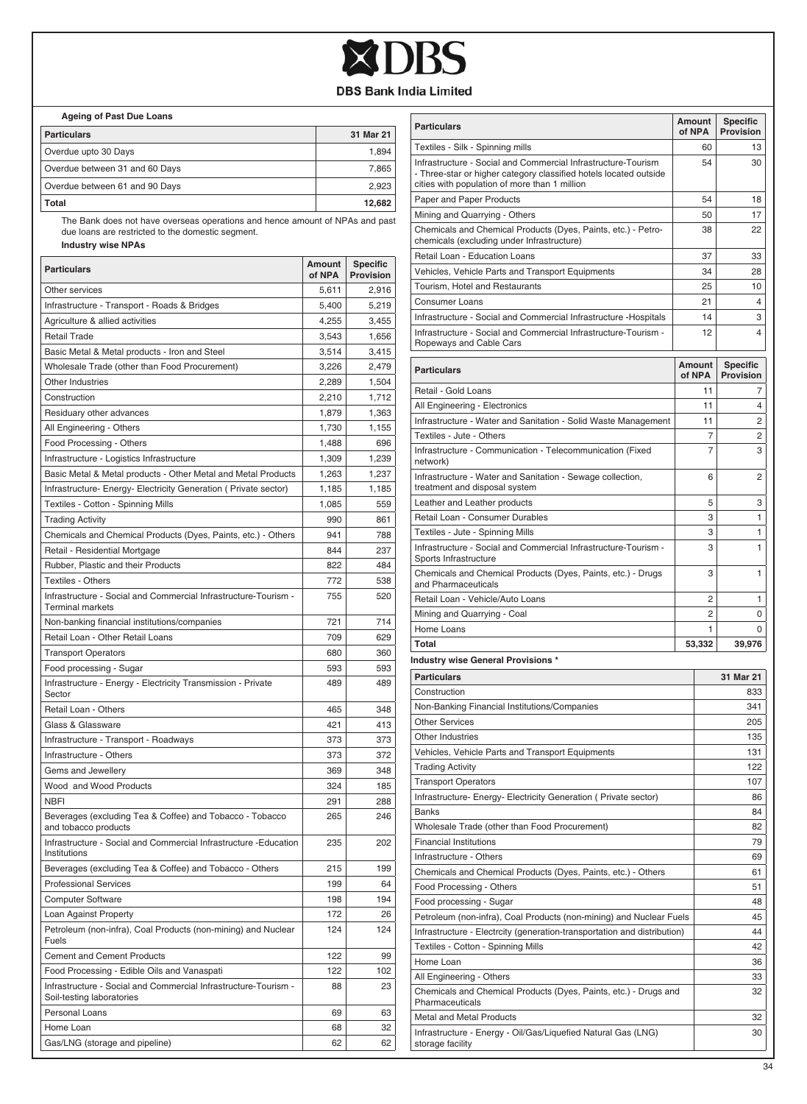

 **Ageing of Past Due Loans**

| <b>Particulars</b>             | 31 Mar 21 |
|--------------------------------|-----------|
| Overdue upto 30 Days           | 1.894     |
| Overdue between 31 and 60 Days | 7.865     |
| Overdue between 61 and 90 Days | 2.923     |
| Total                          | 12.682    |

The Bank does not have overseas operations and hence amount of NPAs and past due loans are restricted to the domestic segment.

 **Industry wise NPAs**

| <b>Particulars</b>                                                                           | Amount<br>of NPA | <b>Specific</b><br>Provision |
|----------------------------------------------------------------------------------------------|------------------|------------------------------|
| Other services                                                                               | 5,611            | 2,916                        |
| Infrastructure - Transport - Roads & Bridges                                                 | 5,400            | 5,219                        |
| Agriculture & allied activities                                                              | 4,255            | 3,455                        |
| <b>Retail Trade</b>                                                                          | 3,543            | 1,656                        |
| Basic Metal & Metal products - Iron and Steel                                                | 3,514            | 3,415                        |
| Wholesale Trade (other than Food Procurement)                                                | 3,226            | 2,479                        |
| Other Industries                                                                             | 2,289            | 1,504                        |
| Construction                                                                                 | 2,210            | 1,712                        |
| Residuary other advances                                                                     | 1,879            | 1,363                        |
| All Engineering - Others                                                                     | 1,730            | 1,155                        |
| Food Processing - Others                                                                     | 1,488            | 696                          |
| Infrastructure - Logistics Infrastructure                                                    | 1,309            | 1,239                        |
| Basic Metal & Metal products - Other Metal and Metal Products                                | 1,263            | 1,237                        |
| Infrastructure- Energy- Electricity Generation ( Private sector)                             | 1,185            | 1,185                        |
| Textiles - Cotton - Spinning Mills                                                           | 1,085            | 559                          |
| <b>Trading Activity</b>                                                                      | 990              | 861                          |
| Chemicals and Chemical Products (Dyes, Paints, etc.) - Others                                | 941              | 788                          |
| Retail - Residential Mortgage                                                                | 844              | 237                          |
| Rubber, Plastic and their Products                                                           | 822              | 484                          |
| <b>Textiles - Others</b>                                                                     | 772              | 538                          |
| Infrastructure - Social and Commercial Infrastructure-Tourism -<br><b>Terminal markets</b>   | 755              | 520                          |
| Non-banking financial institutions/companies                                                 | 721              | 714                          |
| Retail Loan - Other Retail Loans                                                             | 709              | 629                          |
| <b>Transport Operators</b>                                                                   | 680              | 360                          |
| Food processing - Sugar                                                                      | 593              | 593                          |
| Infrastructure - Energy - Electricity Transmission - Private<br>Sector                       | 489              | 489                          |
| Retail Loan - Others                                                                         | 465              | 348                          |
| Glass & Glassware                                                                            | 421              | 413                          |
| Infrastructure - Transport - Roadways                                                        | 373              | 373                          |
| Infrastructure - Others                                                                      | 373              | 372                          |
| Gems and Jewellery                                                                           | 369              | 348                          |
| Wood and Wood Products                                                                       | 324              | 185                          |
| <b>NBFI</b>                                                                                  | 291              | 288                          |
| Beverages (excluding Tea & Coffee) and Tobacco - Tobacco<br>and tobacco products             | 265              | 246                          |
| Infrastructure - Social and Commercial Infrastructure - Education<br>Institutions            | 235              | 202                          |
| Beverages (excluding Tea & Coffee) and Tobacco - Others                                      | 215              | 199                          |
| <b>Professional Services</b>                                                                 | 199              | 64                           |
| <b>Computer Software</b>                                                                     | 198              | 194                          |
| Loan Against Property                                                                        | 172              | 26                           |
| Petroleum (non-infra), Coal Products (non-mining) and Nuclear<br>Fuels                       | 124              | 124                          |
| <b>Cement and Cement Products</b>                                                            | 122              | 99                           |
| Food Processing - Edible Oils and Vanaspati                                                  | 122              | 102                          |
| Infrastructure - Social and Commercial Infrastructure-Tourism -<br>Soil-testing laboratories | 88               | 23                           |
| Personal Loans                                                                               | 69               | 63                           |
| Home Loan                                                                                    | 68               | 32                           |
|                                                                                              |                  |                              |

| <b>Particulars</b>                                                                                                                                                                  | <b>Amount</b><br>of NPA |                         | <b>Specific</b><br>Provision |
|-------------------------------------------------------------------------------------------------------------------------------------------------------------------------------------|-------------------------|-------------------------|------------------------------|
| Textiles - Silk - Spinning mills                                                                                                                                                    |                         | 60                      | 13                           |
| Infrastructure - Social and Commercial Infrastructure-Tourism<br>- Three-star or higher category classified hotels located outside<br>cities with population of more than 1 million |                         | 54                      | 30                           |
| Paper and Paper Products                                                                                                                                                            |                         | 54                      | 18                           |
| Mining and Quarrying - Others                                                                                                                                                       |                         | 50                      | 17                           |
| Chemicals and Chemical Products (Dyes, Paints, etc.) - Petro-<br>chemicals (excluding under Infrastructure)                                                                         |                         | 38                      | 22                           |
| Retail Loan - Education Loans                                                                                                                                                       |                         | 37                      | 33                           |
| Vehicles, Vehicle Parts and Transport Equipments                                                                                                                                    |                         | 34                      | 28                           |
| Tourism, Hotel and Restaurants                                                                                                                                                      |                         | 25                      | 10                           |
| <b>Consumer Loans</b>                                                                                                                                                               |                         | 21                      | 4                            |
| Infrastructure - Social and Commercial Infrastructure - Hospitals                                                                                                                   |                         | 14                      | 3                            |
| Infrastructure - Social and Commercial Infrastructure-Tourism -<br>Ropeways and Cable Cars                                                                                          |                         | 12                      | 4                            |
| <b>Particulars</b>                                                                                                                                                                  |                         | <b>Amount</b><br>of NPA | <b>Specific</b><br>Provision |
| Retail - Gold Loans                                                                                                                                                                 |                         | 11                      | 7                            |
| All Engineering - Electronics                                                                                                                                                       |                         | 11                      | 4                            |
| Infrastructure - Water and Sanitation - Solid Waste Management                                                                                                                      |                         | 11                      | 2                            |
| Textiles - Jute - Others                                                                                                                                                            |                         | 7                       | 2                            |
| Infrastructure - Communication - Telecommunication (Fixed<br>network)                                                                                                               |                         | 7                       | 3                            |
| Infrastructure - Water and Sanitation - Sewage collection,<br>treatment and disposal system                                                                                         |                         | 6                       | 2                            |
| Leather and Leather products                                                                                                                                                        |                         | 5                       | 3                            |
| Retail Loan - Consumer Durables                                                                                                                                                     |                         | 3                       | 1                            |
| Textiles - Jute - Spinning Mills                                                                                                                                                    |                         | 3                       | 1                            |
| Infrastructure - Social and Commercial Infrastructure-Tourism -<br>Sports Infrastructure                                                                                            |                         | 3                       | 1                            |
| Chemicals and Chemical Products (Dyes, Paints, etc.) - Drugs<br>and Pharmaceuticals                                                                                                 |                         | 3                       | 1                            |
| Retail Loan - Vehicle/Auto Loans                                                                                                                                                    |                         | 2                       | 1                            |
| Mining and Quarrying - Coal                                                                                                                                                         |                         | 2                       | 0                            |
| Home Loans                                                                                                                                                                          |                         | 1                       | 0                            |
| Total                                                                                                                                                                               |                         | 53,332                  | 39,976                       |
| Industry wise General Provisions *                                                                                                                                                  |                         |                         |                              |
| <b>Particulars</b>                                                                                                                                                                  |                         |                         | 31 Mar 21                    |
| Construction                                                                                                                                                                        |                         |                         | 833                          |
| Non-Banking Financial Institutions/Companies                                                                                                                                        |                         |                         | 341                          |
| <b>Other Services</b>                                                                                                                                                               |                         |                         | 205                          |
| Other Industries                                                                                                                                                                    |                         |                         | 135                          |
| Vehicles, Vehicle Parts and Transport Equipments                                                                                                                                    |                         |                         | 131                          |
| <b>Trading Activity</b>                                                                                                                                                             |                         |                         | 122                          |
| I ransport Operators                                                                                                                                                                |                         |                         | 107                          |
| Infrastructure- Energy- Electricity Generation ( Private sector)                                                                                                                    |                         |                         | 86                           |
| Banks                                                                                                                                                                               |                         |                         | 84                           |
| Wholesale Trade (other than Food Procurement)                                                                                                                                       |                         |                         | 82                           |
| <b>Financial Institutions</b>                                                                                                                                                       |                         |                         | 79                           |
| Infrastructure - Others                                                                                                                                                             |                         |                         | 69                           |
| Chemicals and Chemical Products (Dyes, Paints, etc.) - Others                                                                                                                       |                         |                         | 61                           |
| Food Processing - Others                                                                                                                                                            |                         |                         | 51                           |
| Food processing - Sugar                                                                                                                                                             |                         |                         | 48                           |
| Petroleum (non-infra), Coal Products (non-mining) and Nuclear Fuels                                                                                                                 |                         |                         | 45                           |
| Infrastructure - Electrcity (generation-transportation and distribution)                                                                                                            |                         |                         | 44                           |
| Textiles - Cotton - Spinning Mills                                                                                                                                                  |                         |                         | 42                           |
| Home Loan                                                                                                                                                                           |                         |                         | 36                           |
| All Engineering - Others                                                                                                                                                            |                         |                         | 33                           |
| Chemicals and Chemical Products (Dyes, Paints, etc.) - Drugs and<br>Pharmaceuticals                                                                                                 |                         |                         | 32                           |
| Metal and Metal Products                                                                                                                                                            |                         |                         | 32                           |
| Infrastructure - Energy - Oil/Gas/Liquefied Natural Gas (LNG)<br>storage facility                                                                                                   |                         |                         | 30                           |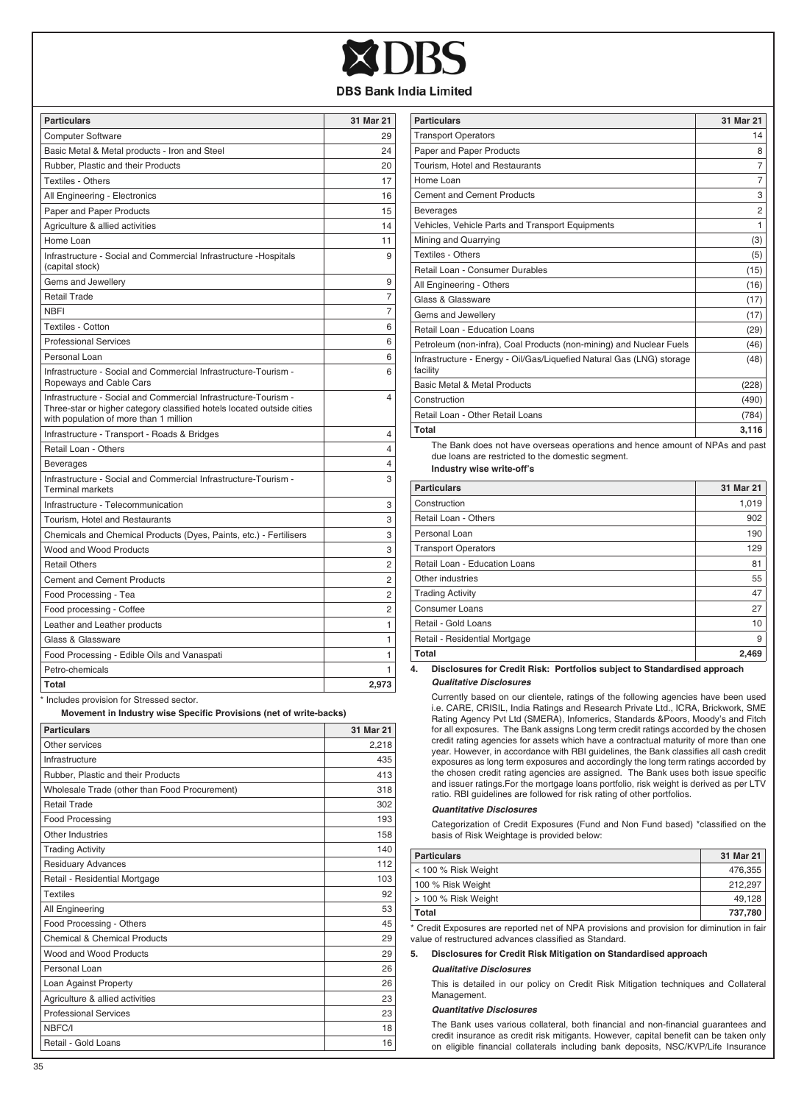| <b>Particulars</b>                                                                                                                                                                  | 31 Mar 21      |
|-------------------------------------------------------------------------------------------------------------------------------------------------------------------------------------|----------------|
| <b>Computer Software</b>                                                                                                                                                            | 29             |
| Basic Metal & Metal products - Iron and Steel                                                                                                                                       | 24             |
| Rubber, Plastic and their Products                                                                                                                                                  | 20             |
| <b>Textiles - Others</b>                                                                                                                                                            | 17             |
| All Engineering - Electronics                                                                                                                                                       | 16             |
| Paper and Paper Products                                                                                                                                                            | 15             |
| Agriculture & allied activities                                                                                                                                                     | 14             |
| Home Loan                                                                                                                                                                           | 11             |
| Infrastructure - Social and Commercial Infrastructure - Hospitals<br>(capital stock)                                                                                                | 9              |
| Gems and Jewellery                                                                                                                                                                  | 9              |
| Retail Trade                                                                                                                                                                        | 7              |
| <b>NBFI</b>                                                                                                                                                                         | 7              |
| <b>Textiles - Cotton</b>                                                                                                                                                            | 6              |
| <b>Professional Services</b>                                                                                                                                                        | 6              |
| Personal Loan                                                                                                                                                                       | 6              |
| Infrastructure - Social and Commercial Infrastructure-Tourism -<br>Ropeways and Cable Cars                                                                                          | 6              |
| Infrastructure - Social and Commercial Infrastructure-Tourism -<br>Three-star or higher category classified hotels located outside cities<br>with population of more than 1 million | 4              |
| Infrastructure - Transport - Roads & Bridges                                                                                                                                        | 4              |
| Retail Loan - Others                                                                                                                                                                | $\overline{4}$ |
| <b>Beverages</b>                                                                                                                                                                    | 4              |
| Infrastructure - Social and Commercial Infrastructure-Tourism -<br><b>Terminal markets</b>                                                                                          | 3              |
| Infrastructure - Telecommunication                                                                                                                                                  | 3              |
| Tourism, Hotel and Restaurants                                                                                                                                                      | 3              |
| Chemicals and Chemical Products (Dyes, Paints, etc.) - Fertilisers                                                                                                                  | 3              |
| Wood and Wood Products                                                                                                                                                              | 3              |
| <b>Retail Others</b>                                                                                                                                                                | 2              |
| <b>Cement and Cement Products</b>                                                                                                                                                   | 2              |
| Food Processing - Tea                                                                                                                                                               | $\overline{c}$ |
| Food processing - Coffee                                                                                                                                                            | $\overline{2}$ |
| Leather and Leather products                                                                                                                                                        | 1              |
| Glass & Glassware                                                                                                                                                                   | 1              |
| Food Processing - Edible Oils and Vanaspati                                                                                                                                         | 1              |
| Petro-chemicals                                                                                                                                                                     | 1              |
| Total<br>$\mathcal{A} = \mathcal{A} + \mathcal{A} + \mathcal{A} + \mathcal{A}$<br>the article of a                                                                                  | 2.973          |

provision for Stressed sector.

 **Movement in Industry wise Specific Provisions (net of write-backs)**

| <b>Particulars</b>                            | 31 Mar 21 |
|-----------------------------------------------|-----------|
| Other services                                | 2,218     |
| Infrastructure                                | 435       |
| Rubber, Plastic and their Products            | 413       |
| Wholesale Trade (other than Food Procurement) | 318       |
| Retail Trade                                  | 302       |
| Food Processing                               | 193       |
| Other Industries                              | 158       |
| <b>Trading Activity</b>                       | 140       |
| <b>Residuary Advances</b>                     | 112       |
| Retail - Residential Mortgage                 | 103       |
| <b>Textiles</b>                               | 92        |
| All Engineering                               | 53        |
| Food Processing - Others                      | 45        |
| Chemical & Chemical Products                  | 29        |
| Wood and Wood Products                        | 29        |
| Personal Loan                                 | 26        |
| Loan Against Property                         | 26        |
| Agriculture & allied activities               | 23        |
| <b>Professional Services</b>                  | 23        |
| NBFC/I                                        | 18        |
| Retail - Gold Loans                           | 16        |

| <b>Particulars</b>                                                                | 31 Mar 21      |
|-----------------------------------------------------------------------------------|----------------|
| <b>Transport Operators</b>                                                        | 14             |
| Paper and Paper Products                                                          | 8              |
| Tourism, Hotel and Restaurants                                                    | $\overline{7}$ |
| Home Loan                                                                         | $\overline{7}$ |
| <b>Cement and Cement Products</b>                                                 | 3              |
| <b>Beverages</b>                                                                  | $\overline{2}$ |
| Vehicles, Vehicle Parts and Transport Equipments                                  | 1              |
| Mining and Quarrying                                                              | (3)            |
| Textiles - Others                                                                 | (5)            |
| Retail Loan - Consumer Durables                                                   | (15)           |
| All Engineering - Others                                                          | (16)           |
| Glass & Glassware                                                                 | (17)           |
| Gems and Jewellery                                                                | (17)           |
| Retail Loan - Education Loans                                                     | (29)           |
| Petroleum (non-infra), Coal Products (non-mining) and Nuclear Fuels               | (46)           |
| Infrastructure - Energy - Oil/Gas/Liquefied Natural Gas (LNG) storage<br>facility | (48)           |
| <b>Basic Metal &amp; Metal Products</b>                                           | (228)          |
| Construction                                                                      | (490)          |
| Retail Loan - Other Retail Loans                                                  | (784)          |
| Total                                                                             | 3,116          |

The Bank does not have overseas operations and hence amount of NPAs and past due loans are restricted to the domestic segment.

**Industry wise write-off's**

| <b>Particulars</b>            | 31 Mar 21 |
|-------------------------------|-----------|
| Construction                  | 1,019     |
| Retail Loan - Others          | 902       |
| Personal Loan                 | 190       |
| <b>Transport Operators</b>    | 129       |
| Retail Loan - Education Loans | 81        |
| Other industries              | 55        |
| <b>Trading Activity</b>       | 47        |
| Consumer Loans                | 27        |
| Retail - Gold Loans           | 10        |
| Retail - Residential Mortgage | 9         |
| Total                         | 2.469     |

**4. Disclosures for Credit Risk: Portfolios subject to Standardised approach** *Qualitative Disclosures*

Currently based on our clientele, ratings of the following agencies have been used i.e. CARE, CRISIL, India Ratings and Research Private Ltd., ICRA, Brickwork, SME Rating Agency Pvt Ltd (SMERA), Infomerics, Standards &Poors, Moody's and Fitch for all exposures. The Bank assigns Long term credit ratings accorded by the chosen credit rating agencies for assets which have a contractual maturity of more than one year. However, in accordance with RBI guidelines, the Bank classifies all cash credit exposures as long term exposures and accordingly the long term ratings accorded by the chosen credit rating agencies are assigned. The Bank uses both issue specific and issuer ratings.For the mortgage loans portfolio, risk weight is derived as per LTV ratio. RBI guidelines are followed for risk rating of other portfolios.

#### *Quantitative Disclosures*

Categorization of Credit Exposures (Fund and Non Fund based) \*classified on the basis of Risk Weightage is provided below:

| <b>Particulars</b>  | 31 Mar 21 |
|---------------------|-----------|
| < 100 % Risk Weight | 476.355   |
| 100 % Risk Weight   | 212.297   |
| > 100 % Risk Weight | 49.128    |
| Total               | 737.780   |

\* Credit Exposures are reported net of NPA provisions and provision for diminution in fair value of restructured advances classified as Standard.

#### **5. Disclosures for Credit Risk Mitigation on Standardised approach**

#### *Qualitative Disclosures*

This is detailed in our policy on Credit Risk Mitigation techniques and Collateral Management.

#### *Quantitative Disclosures*

The Bank uses various collateral, both financial and non-financial guarantees and credit insurance as credit risk mitigants. However, capital benefit can be taken only on eligible financial collaterals including bank deposits, NSC/KVP/Life Insurance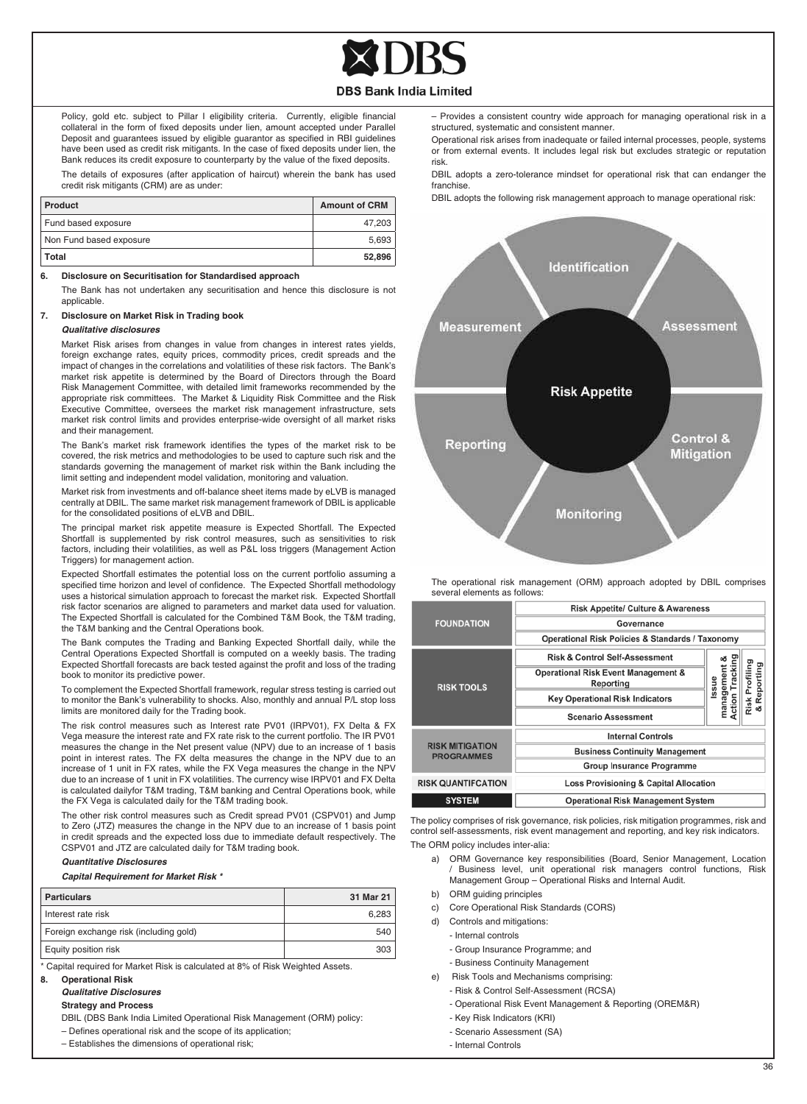

Policy, gold etc. subject to Pillar I eligibility criteria. Currently, eligible financial collateral in the form of fixed deposits under lien, amount accepted under Parallel Deposit and guarantees issued by eligible guarantor as specified in RBI guidelines have been used as credit risk mitigants. In the case of fixed deposits under lien, the Bank reduces its credit exposure to counterparty by the value of the fixed deposits.

The details of exposures (after application of haircut) wherein the bank has used credit risk mitigants (CRM) are as under:

| Product                 | <b>Amount of CRM</b> |
|-------------------------|----------------------|
| Fund based exposure     | 47.203               |
| Non Fund based exposure | 5.693                |
| Total                   | 52.896               |

#### **6. Disclosure on Securitisation for Standardised approach**

The Bank has not undertaken any securitisation and hence this disclosure is not applicable.

## **7. Disclosure on Market Risk in Trading book**

#### *Qualitative disclosures*

Market Risk arises from changes in value from changes in interest rates yields, foreign exchange rates, equity prices, commodity prices, credit spreads and the impact of changes in the correlations and volatilities of these risk factors. The Bank's market risk appetite is determined by the Board of Directors through the Board Risk Management Committee, with detailed limit frameworks recommended by the appropriate risk committees. The Market & Liquidity Risk Committee and the Risk Executive Committee, oversees the market risk management infrastructure, sets market risk control limits and provides enterprise-wide oversight of all market risks and their management.

The Bank's market risk framework identifies the types of the market risk to be covered, the risk metrics and methodologies to be used to capture such risk and the standards governing the management of market risk within the Bank including the limit setting and independent model validation, monitoring and valuation.

Market risk from investments and off-balance sheet items made by eLVB is managed centrally at DBIL. The same market risk management framework of DBIL is applicable for the consolidated positions of eLVB and DBIL.

The principal market risk appetite measure is Expected Shortfall. The Expected Shortfall is supplemented by risk control measures, such as sensitivities to risk factors, including their volatilities, as well as P&L loss triggers (Management Action Triggers) for management action.

Expected Shortfall estimates the potential loss on the current portfolio assuming a specified time horizon and level of confidence. The Expected Shortfall methodology uses a historical simulation approach to forecast the market risk. Expected Shortfall risk factor scenarios are aligned to parameters and market data used for valuation. The Expected Shortfall is calculated for the Combined T&M Book, the T&M trading, the T&M banking and the Central Operations book.

The Bank computes the Trading and Banking Expected Shortfall daily, while the Central Operations Expected Shortfall is computed on a weekly basis. The trading Expected Shortfall forecasts are back tested against the profit and loss of the trading book to monitor its predictive power.

To complement the Expected Shortfall framework, regular stress testing is carried out to monitor the Bank's vulnerability to shocks. Also, monthly and annual P/L stop loss limits are monitored daily for the Trading book.

The risk control measures such as Interest rate PV01 (IRPV01), FX Delta & FX Vega measure the interest rate and FX rate risk to the current portfolio. The IR PV01 measures the change in the Net present value (NPV) due to an increase of 1 basis point in interest rates. The FX delta measures the change in the NPV due to an increase of 1 unit in FX rates, while the FX Vega measures the change in the NPV due to an increase of 1 unit in FX volatilities. The currency wise IRPV01 and FX Delta is calculated dailyfor T&M trading, T&M banking and Central Operations book, while the FX Vega is calculated daily for the T&M trading book.

The other risk control measures such as Credit spread PV01 (CSPV01) and Jump to Zero (JTZ) measures the change in the NPV due to an increase of 1 basis point in credit spreads and the expected loss due to immediate default respectively. The CSPV01 and JTZ are calculated daily for T&M trading book.

#### *Quantitative Disclosures*

#### *Capital Requirement for Market Risk \**

| <b>Particulars</b>                     | 31 Mar 21 |
|----------------------------------------|-----------|
| Interest rate risk                     | 6.283     |
| Foreign exchange risk (including gold) | 540       |
| Equity position risk                   | 303       |

\* Capital required for Market Risk is calculated at 8% of Risk Weighted Assets.

#### **8. Operational Risk**

#### *Qualitative Disclosures*

 **Strategy and Process** 

DBIL (DBS Bank India Limited Operational Risk Management (ORM) policy:

- Defines operational risk and the scope of its application;
- Establishes the dimensions of operational risk;

– Provides a consistent country wide approach for managing operational risk in a structured, systematic and consistent manner.

Operational risk arises from inadequate or failed internal processes, people, systems or from external events. It includes legal risk but excludes strategic or reputation risk.

DBIL adopts a zero-tolerance mindset for operational risk that can endanger the franchise.

DBIL adopts the following risk management approach to manage operational risk:



The operational risk management (ORM) approach adopted by DBIL comprises several elements as follows:

|                                             | <b>Risk Appetite/ Culture &amp; Awareness</b>               |                                                  |                        |  |
|---------------------------------------------|-------------------------------------------------------------|--------------------------------------------------|------------------------|--|
| <b>FOUNDATION</b>                           | Governance                                                  |                                                  |                        |  |
|                                             | <b>Operational Risk Policies &amp; Standards / Taxonomy</b> |                                                  |                        |  |
|                                             | <b>Risk &amp; Control Self-Assessment</b>                   |                                                  |                        |  |
| <b>RISK TOOLS</b>                           | <b>Operational Risk Event Management &amp;</b><br>Reporting | Tracking<br>management<br>Action Trackin<br>ssue | Profiling<br>Reporting |  |
|                                             | <b>Key Operational Risk Indicators</b>                      |                                                  | Risk                   |  |
|                                             | <b>Scenario Assessment</b>                                  |                                                  | œ                      |  |
|                                             | <b>Internal Controls</b>                                    |                                                  |                        |  |
| <b>RISK MITIGATION</b><br><b>PROGRAMMES</b> | <b>Business Continuity Management</b>                       |                                                  |                        |  |
|                                             | <b>Group Insurance Programme</b>                            |                                                  |                        |  |
| <b>RISK QUANTIFCATION</b>                   | <b>Loss Provisioning &amp; Capital Allocation</b>           |                                                  |                        |  |
| <b>SYSTEM</b>                               | <b>Operational Risk Management System</b>                   |                                                  |                        |  |

The policy comprises of risk governance, risk policies, risk mitigation programmes, risk and control self-assessments, risk event management and reporting, and key risk indicators. The ORM policy includes inter-alia:

- a) ORM Governance key responsibilities (Board, Senior Management, Location Business level, unit operational risk managers control functions, Risk Management Group – Operational Risks and Internal Audit.
- b) ORM guiding principles
- c) Core Operational Risk Standards (CORS)
- d) Controls and mitigations:
	- Internal controls
		- Group Insurance Programme; and
	- Business Continuity Management
- e) Risk Tools and Mechanisms comprising:
	- Risk & Control Self-Assessment (RCSA)
	- Operational Risk Event Management & Reporting (OREM&R)
	- Key Risk Indicators (KRI)
	- Scenario Assessment (SA)
	- Internal Controls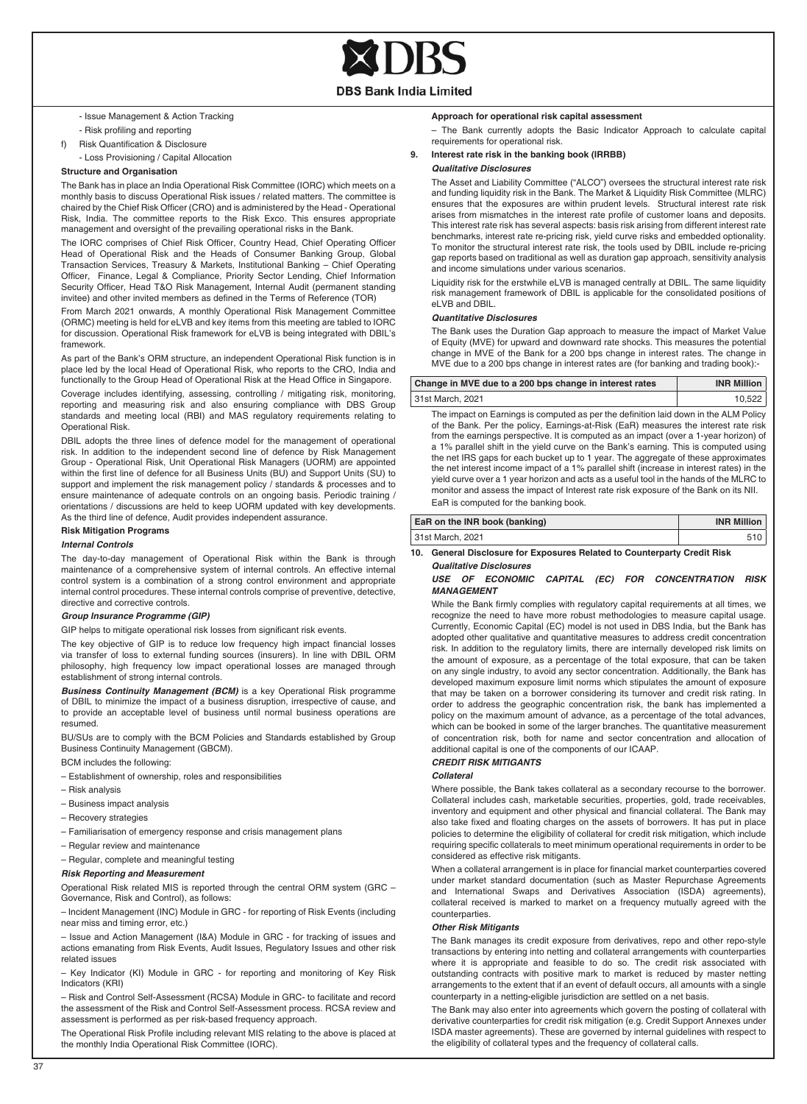- **DBS Bank India Limited**
- Issue Management & Action Tracking
- Risk profiling and reporting
- f) Risk Quantification & Disclosure
- Loss Provisioning / Capital Allocation

#### **Structure and Organisation**

The Bank has in place an India Operational Risk Committee (IORC) which meets on a monthly basis to discuss Operational Risk issues / related matters. The committee is chaired by the Chief Risk Officer (CRO) and is administered by the Head - Operational Risk, India. The committee reports to the Risk Exco. This ensures appropriate management and oversight of the prevailing operational risks in the Bank.

The IORC comprises of Chief Risk Officer, Country Head, Chief Operating Officer Head of Operational Risk and the Heads of Consumer Banking Group, Global Transaction Services, Treasury & Markets, Institutional Banking – Chief Operating Officer, Finance, Legal & Compliance, Priority Sector Lending, Chief Information Security Officer, Head T&O Risk Management, Internal Audit (permanent standing invitee) and other invited members as defined in the Terms of Reference (TOR)

From March 2021 onwards, A monthly Operational Risk Management Committee (ORMC) meeting is held for eLVB and key items from this meeting are tabled to IORC for discussion. Operational Risk framework for eLVB is being integrated with DBIL's framework.

As part of the Bank's ORM structure, an independent Operational Risk function is in place led by the local Head of Operational Risk, who reports to the CRO, India and functionally to the Group Head of Operational Risk at the Head Office in Singapore.

Coverage includes identifying, assessing, controlling / mitigating risk, monitoring, reporting and measuring risk and also ensuring compliance with DBS Group standards and meeting local (RBI) and MAS regulatory requirements relating to Operational Risk.

DBIL adopts the three lines of defence model for the management of operational risk. In addition to the independent second line of defence by Risk Management Group - Operational Risk, Unit Operational Risk Managers (UORM) are appointed within the first line of defence for all Business Units (BU) and Support Units (SU) to support and implement the risk management policy / standards & processes and to ensure maintenance of adequate controls on an ongoing basis. Periodic training / orientations / discussions are held to keep UORM updated with key developments. As the third line of defence, Audit provides independent assurance.

#### **Risk Mitigation Programs**

#### *Internal Controls*

The day-to-day management of Operational Risk within the Bank is through maintenance of a comprehensive system of internal controls. An effective internal control system is a combination of a strong control environment and appropriate internal control procedures. These internal controls comprise of preventive, detective, directive and corrective controls.

#### *Group Insurance Programme (GIP)*

GIP helps to mitigate operational risk losses from significant risk events.

The key objective of GIP is to reduce low frequency high impact financial losses via transfer of loss to external funding sources (insurers). In line with DBIL ORM philosophy, high frequency low impact operational losses are managed through establishment of strong internal controls.

*Business Continuity Management (BCM)* is a key Operational Risk programme of DBIL to minimize the impact of a business disruption, irrespective of cause, and to provide an acceptable level of business until normal business operations are resumed.

BU/SUs are to comply with the BCM Policies and Standards established by Group Business Continuity Management (GBCM).

- BCM includes the following:
- Establishment of ownership, roles and responsibilities
- Risk analysis
- Business impact analysis
- Recovery strategies
- Familiarisation of emergency response and crisis management plans
- Regular review and maintenance
- Regular, complete and meaningful testing

#### *Risk Reporting and Measurement*

Operational Risk related MIS is reported through the central ORM system (GRC – Governance, Risk and Control), as follows:

– Incident Management (INC) Module in GRC - for reporting of Risk Events (including near miss and timing error, etc.)

– Issue and Action Management (I&A) Module in GRC - for tracking of issues and actions emanating from Risk Events, Audit Issues, Regulatory Issues and other risk related issues

– Key Indicator (KI) Module in GRC - for reporting and monitoring of Key Risk Indicators (KRI)

– Risk and Control Self-Assessment (RCSA) Module in GRC- to facilitate and record the assessment of the Risk and Control Self-Assessment process. RCSA review and assessment is performed as per risk-based frequency approach.

The Operational Risk Profile including relevant MIS relating to the above is placed at the monthly India Operational Risk Committee (IORC).

#### **Approach for operational risk capital assessment**

– The Bank currently adopts the Basic Indicator Approach to calculate capital requirements for operational risk.

#### **9. Interest rate risk in the banking book (IRRBB)** *Qualitative Disclosures*

The Asset and Liability Committee ("ALCO") oversees the structural interest rate risk and funding liquidity risk in the Bank. The Market & Liquidity Risk Committee (MLRC) ensures that the exposures are within prudent levels. Structural interest rate risk arises from mismatches in the interest rate profile of customer loans and deposits. This interest rate risk has several aspects: basis risk arising from different interest rate benchmarks, interest rate re-pricing risk, yield curve risks and embedded optionality. To monitor the structural interest rate risk, the tools used by DBIL include re-pricing gap reports based on traditional as well as duration gap approach, sensitivity analysis and income simulations under various scenarios.

Liquidity risk for the erstwhile eLVB is managed centrally at DBIL. The same liquidity risk management framework of DBIL is applicable for the consolidated positions of eLVB and DBIL

#### *Quantitative Disclosures*

The Bank uses the Duration Gap approach to measure the impact of Market Value of Equity (MVE) for upward and downward rate shocks. This measures the potential change in MVE of the Bank for a 200 bps change in interest rates. The change in MVE due to a 200 bps change in interest rates are (for banking and trading book):-

| Change in MVE due to a 200 bps change in interest rates | <b>INR Million</b> |
|---------------------------------------------------------|--------------------|
| 31st March, 2021                                        | 10.522             |

The impact on Earnings is computed as per the definition laid down in the ALM Policy of the Bank. Per the policy, Earnings-at-Risk (EaR) measures the interest rate risk from the earnings perspective. It is computed as an impact (over a 1-year horizon) of a 1% parallel shift in the yield curve on the Bank's earning. This is computed using the net IRS gaps for each bucket up to 1 year. The aggregate of these approximates the net interest income impact of a 1% parallel shift (increase in interest rates) in the yield curve over a 1 year horizon and acts as a useful tool in the hands of the MLRC to monitor and assess the impact of Interest rate risk exposure of the Bank on its NII. EaR is computed for the banking book.

## **EaR on the INR book (banking) INR Million** 31st March, 2021 510 **10. General Disclosure for Exposures Related to Counterparty Credit Risk**

## **Qualitative Disclosure**

#### *USE OF ECONOMIC CAPITAL (EC) FOR CONCENTRATION RISK MANAGEMENT*

While the Bank firmly complies with regulatory capital requirements at all times, we recognize the need to have more robust methodologies to measure capital usage. Currently, Economic Capital (EC) model is not used in DBS India, but the Bank has adopted other qualitative and quantitative measures to address credit concentration risk. In addition to the regulatory limits, there are internally developed risk limits on the amount of exposure, as a percentage of the total exposure, that can be taken on any single industry, to avoid any sector concentration. Additionally, the Bank has developed maximum exposure limit norms which stipulates the amount of exposure that may be taken on a borrower considering its turnover and credit risk rating. In order to address the geographic concentration risk, the bank has implemented a policy on the maximum amount of advance, as a percentage of the total advances, which can be booked in some of the larger branches. The quantitative measurement of concentration risk, both for name and sector concentration and allocation of additional capital is one of the components of our ICAAP.

### *CREDIT RISK MITIGANTS*

#### *Collateral*

Where possible, the Bank takes collateral as a secondary recourse to the borrower. Collateral includes cash, marketable securities, properties, gold, trade receivables, inventory and equipment and other physical and financial collateral. The Bank may also take fixed and floating charges on the assets of borrowers. It has put in place policies to determine the eligibility of collateral for credit risk mitigation, which include requiring specific collaterals to meet minimum operational requirements in order to be considered as effective risk mitigants.

When a collateral arrangement is in place for financial market counterparties covered under market standard documentation (such as Master Repurchase Agreements and International Swaps and Derivatives Association (ISDA) agreements), collateral received is marked to market on a frequency mutually agreed with the counterparties.

#### *Other Risk Mitigants*

The Bank manages its credit exposure from derivatives, repo and other repo-style transactions by entering into netting and collateral arrangements with counterparties where it is appropriate and feasible to do so. The credit risk associated with outstanding contracts with positive mark to market is reduced by master netting arrangements to the extent that if an event of default occurs, all amounts with a single counterparty in a netting-eligible jurisdiction are settled on a net basis.

The Bank may also enter into agreements which govern the posting of collateral with derivative counterparties for credit risk mitigation (e.g. Credit Support Annexes under ISDA master agreements). These are governed by internal guidelines with respect to the eligibility of collateral types and the frequency of collateral calls.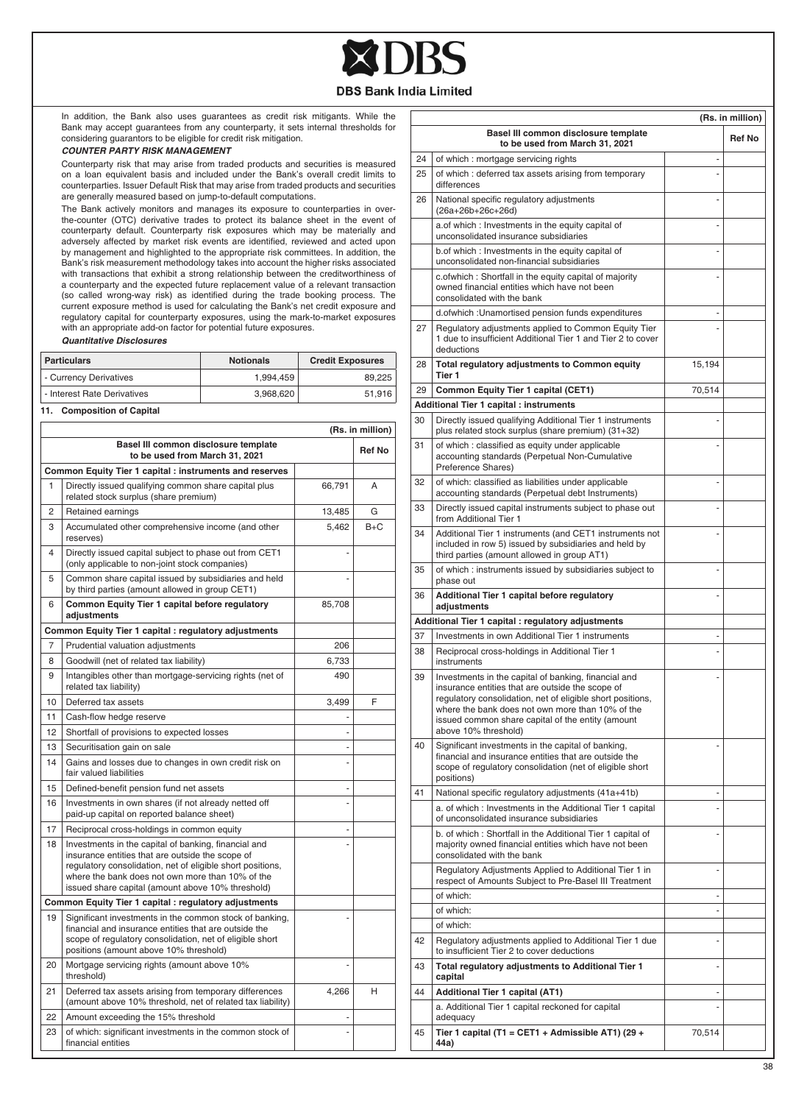

 $\Box$ 

In addition, the Bank also uses guarantees as credit risk mitigants. While the Bank may accept guarantees from any counterparty, it sets internal thresholds for considering guarantors to be eligible for credit risk mitigation.

#### *COUNTER PARTY RISK MANAGEMENT*

Counterparty risk that may arise from traded products and securities is measured on a loan equivalent basis and included under the Bank's overall credit limits to counterparties. Issuer Default Risk that may arise from traded products and securities are generally measured based on jump-to-default computations.

The Bank actively monitors and manages its exposure to counterparties in overthe-counter (OTC) derivative trades to protect its balance sheet in the event of counterparty default. Counterparty risk exposures which may be materially and adversely affected by market risk events are identified, reviewed and acted upon by management and highlighted to the appropriate risk committees. In addition, the Bank's risk measurement methodology takes into account the higher risks associated with transactions that exhibit a strong relationship between the creditworthiness of a counterparty and the expected future replacement value of a relevant transaction (so called wrong-way risk) as identified during the trade booking process. The current exposure method is used for calculating the Bank's net credit exposure and regulatory capital for counterparty exposures, using the mark-to-market exposures with an appropriate add-on factor for potential future exposures.

#### *Quantitative Disclosures*

| <b>Particulars</b>          | <b>Notionals</b> | <b>Credit Exposures</b> |  |  |
|-----------------------------|------------------|-------------------------|--|--|
| - Currency Derivatives      | 1.994.459        | 89.225                  |  |  |
| - Interest Rate Derivatives | 3.968.620        | 51.916                  |  |  |
|                             |                  |                         |  |  |

**11. Composition of Capital**

|                                                                        | (Rs. in million)                                                                                                                                                                                                                                                                |        |       |  |
|------------------------------------------------------------------------|---------------------------------------------------------------------------------------------------------------------------------------------------------------------------------------------------------------------------------------------------------------------------------|--------|-------|--|
| Basel III common disclosure template<br>to be used from March 31, 2021 |                                                                                                                                                                                                                                                                                 |        |       |  |
|                                                                        | Common Equity Tier 1 capital : instruments and reserves                                                                                                                                                                                                                         |        |       |  |
| 1                                                                      | Directly issued qualifying common share capital plus<br>related stock surplus (share premium)                                                                                                                                                                                   | 66,791 | A     |  |
| 2                                                                      | Retained earnings                                                                                                                                                                                                                                                               | 13,485 | G     |  |
| 3                                                                      | Accumulated other comprehensive income (and other<br>reserves)                                                                                                                                                                                                                  | 5,462  | $B+C$ |  |
| 4                                                                      | Directly issued capital subject to phase out from CET1<br>(only applicable to non-joint stock companies)                                                                                                                                                                        |        |       |  |
| 5                                                                      | Common share capital issued by subsidiaries and held<br>by third parties (amount allowed in group CET1)                                                                                                                                                                         |        |       |  |
| 6                                                                      | Common Equity Tier 1 capital before regulatory<br>adjustments                                                                                                                                                                                                                   | 85,708 |       |  |
|                                                                        | Common Equity Tier 1 capital : regulatory adjustments                                                                                                                                                                                                                           |        |       |  |
| 7                                                                      | Prudential valuation adjustments                                                                                                                                                                                                                                                | 206    |       |  |
| 8                                                                      | Goodwill (net of related tax liability)                                                                                                                                                                                                                                         | 6,733  |       |  |
| 9                                                                      | Intangibles other than mortgage-servicing rights (net of<br>related tax liability)                                                                                                                                                                                              | 490    |       |  |
| 10                                                                     | Deferred tax assets                                                                                                                                                                                                                                                             | 3,499  | F     |  |
| 11                                                                     | Cash-flow hedge reserve                                                                                                                                                                                                                                                         |        |       |  |
| 12                                                                     | Shortfall of provisions to expected losses                                                                                                                                                                                                                                      |        |       |  |
| 13                                                                     | Securitisation gain on sale                                                                                                                                                                                                                                                     | ÷      |       |  |
| 14                                                                     | Gains and losses due to changes in own credit risk on<br>fair valued liabilities                                                                                                                                                                                                |        |       |  |
| 15                                                                     | Defined-benefit pension fund net assets                                                                                                                                                                                                                                         | ÷,     |       |  |
| 16                                                                     | Investments in own shares (if not already netted off<br>paid-up capital on reported balance sheet)                                                                                                                                                                              |        |       |  |
| 17                                                                     | Reciprocal cross-holdings in common equity                                                                                                                                                                                                                                      | ٠      |       |  |
| 18                                                                     | Investments in the capital of banking, financial and<br>insurance entities that are outside the scope of<br>regulatory consolidation, net of eligible short positions,<br>where the bank does not own more than 10% of the<br>issued share capital (amount above 10% threshold) |        |       |  |
|                                                                        | Common Equity Tier 1 capital : regulatory adjustments                                                                                                                                                                                                                           |        |       |  |
| 19                                                                     | Significant investments in the common stock of banking,<br>financial and insurance entities that are outside the<br>scope of regulatory consolidation, net of eligible short<br>positions (amount above 10% threshold)                                                          |        |       |  |
| 20                                                                     | Mortgage servicing rights (amount above 10%<br>threshold)                                                                                                                                                                                                                       |        |       |  |
| 21                                                                     | Deferred tax assets arising from temporary differences<br>(amount above 10% threshold, net of related tax liability)                                                                                                                                                            | 4,266  | н     |  |
| 22                                                                     | Amount exceeding the 15% threshold                                                                                                                                                                                                                                              |        |       |  |
| 23                                                                     | of which: significant investments in the common stock of<br>financial entities                                                                                                                                                                                                  |        |       |  |

|    | (Rs. in million)                                                                                                                                                                                                                                                                                        |               |               |  |
|----|---------------------------------------------------------------------------------------------------------------------------------------------------------------------------------------------------------------------------------------------------------------------------------------------------------|---------------|---------------|--|
|    | Basel III common disclosure template<br>to be used from March 31, 2021                                                                                                                                                                                                                                  |               | <b>Ref No</b> |  |
| 24 | of which : mortgage servicing rights                                                                                                                                                                                                                                                                    |               |               |  |
| 25 | of which: deferred tax assets arising from temporary<br>differences                                                                                                                                                                                                                                     |               |               |  |
| 26 | National specific regulatory adjustments<br>(26a+26b+26c+26d)                                                                                                                                                                                                                                           |               |               |  |
|    | a.of which: Investments in the equity capital of<br>unconsolidated insurance subsidiaries                                                                                                                                                                                                               | ٠             |               |  |
|    | b.of which: Investments in the equity capital of<br>unconsolidated non-financial subsidiaries                                                                                                                                                                                                           |               |               |  |
|    | c.ofwhich: Shortfall in the equity capital of majority<br>owned financial entities which have not been<br>consolidated with the bank                                                                                                                                                                    |               |               |  |
|    | d.ofwhich : Unamortised pension funds expenditures                                                                                                                                                                                                                                                      | ٠             |               |  |
| 27 | Regulatory adjustments applied to Common Equity Tier<br>1 due to insufficient Additional Tier 1 and Tier 2 to cover<br>deductions                                                                                                                                                                       |               |               |  |
| 28 | Total regulatory adjustments to Common equity<br>Tier 1                                                                                                                                                                                                                                                 | 15,194        |               |  |
| 29 | Common Equity Tier 1 capital (CET1)                                                                                                                                                                                                                                                                     | 70,514        |               |  |
|    | <b>Additional Tier 1 capital : instruments</b>                                                                                                                                                                                                                                                          |               |               |  |
| 30 | Directly issued qualifying Additional Tier 1 instruments<br>plus related stock surplus (share premium) (31+32)                                                                                                                                                                                          | ٠             |               |  |
| 31 | of which: classified as equity under applicable<br>accounting standards (Perpetual Non-Cumulative<br>Preference Shares)                                                                                                                                                                                 |               |               |  |
| 32 | of which: classified as liabilities under applicable<br>accounting standards (Perpetual debt Instruments)                                                                                                                                                                                               |               |               |  |
| 33 | Directly issued capital instruments subject to phase out<br>from Additional Tier 1                                                                                                                                                                                                                      | ٠             |               |  |
| 34 | Additional Tier 1 instruments (and CET1 instruments not<br>included in row 5) issued by subsidiaries and held by<br>third parties (amount allowed in group AT1)                                                                                                                                         |               |               |  |
| 35 | of which : instruments issued by subsidiaries subject to<br>phase out                                                                                                                                                                                                                                   |               |               |  |
| 36 | Additional Tier 1 capital before regulatory<br>adjustments                                                                                                                                                                                                                                              | ٠             |               |  |
|    | Additional Tier 1 capital : regulatory adjustments                                                                                                                                                                                                                                                      |               |               |  |
| 37 | Investments in own Additional Tier 1 instruments                                                                                                                                                                                                                                                        |               |               |  |
| 38 | Reciprocal cross-holdings in Additional Tier 1<br>instruments                                                                                                                                                                                                                                           |               |               |  |
| 39 | Investments in the capital of banking, financial and<br>insurance entities that are outside the scope of<br>regulatory consolidation, net of eligible short positions,<br>where the bank does not own more than 10% of the<br>issued common share capital of the entity (amount<br>above 10% threshold) |               |               |  |
| 40 | Significant investments in the capital of banking,<br>financial and insurance entities that are outside the<br>scope of regulatory consolidation (net of eligible short<br>positions)                                                                                                                   |               |               |  |
| 41 | National specific regulatory adjustments (41a+41b)                                                                                                                                                                                                                                                      |               |               |  |
|    | a. of which: Investments in the Additional Tier 1 capital<br>of unconsolidated insurance subsidiaries                                                                                                                                                                                                   |               |               |  |
|    | b. of which: Shortfall in the Additional Tier 1 capital of<br>majority owned financial entities which have not been<br>consolidated with the bank                                                                                                                                                       | ٠             |               |  |
|    | Regulatory Adjustments Applied to Additional Tier 1 in<br>respect of Amounts Subject to Pre-Basel III Treatment                                                                                                                                                                                         | ÷             |               |  |
|    | of which:                                                                                                                                                                                                                                                                                               | -             |               |  |
|    | of which:                                                                                                                                                                                                                                                                                               | $\frac{1}{2}$ |               |  |
|    | of which:                                                                                                                                                                                                                                                                                               |               |               |  |
| 42 | Regulatory adjustments applied to Additional Tier 1 due<br>to insufficient Tier 2 to cover deductions                                                                                                                                                                                                   |               |               |  |
| 43 | Total regulatory adjustments to Additional Tier 1<br>capital                                                                                                                                                                                                                                            | ٠             |               |  |
| 44 | <b>Additional Tier 1 capital (AT1)</b>                                                                                                                                                                                                                                                                  |               |               |  |
|    | a. Additional Tier 1 capital reckoned for capital<br>adequacy                                                                                                                                                                                                                                           |               |               |  |
| 45 | Tier 1 capital (T1 = CET1 + Admissible AT1) (29 +<br>44a)                                                                                                                                                                                                                                               | 70,514        |               |  |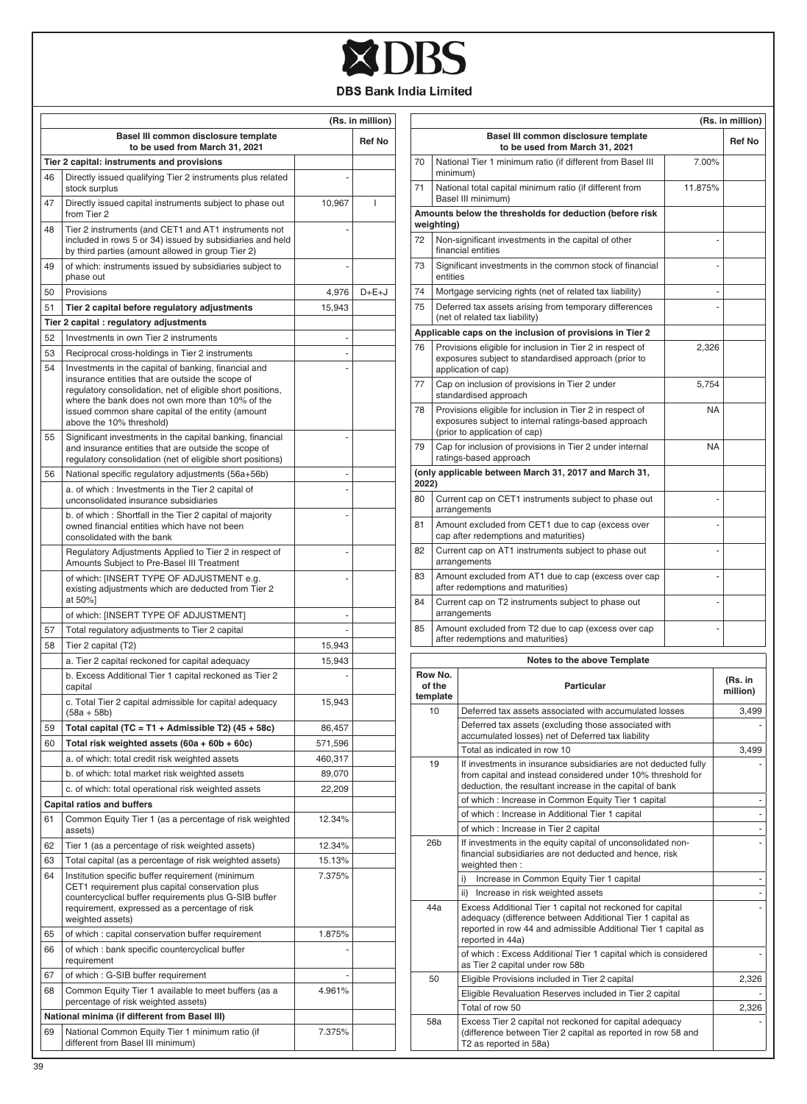

|    | Basel III common disclosure template                                                                                                                                                                                                                                                                        |                          | (Rs. in million) |
|----|-------------------------------------------------------------------------------------------------------------------------------------------------------------------------------------------------------------------------------------------------------------------------------------------------------------|--------------------------|------------------|
|    | to be used from March 31, 2021                                                                                                                                                                                                                                                                              |                          | <b>Ref No</b>    |
|    | Tier 2 capital: instruments and provisions                                                                                                                                                                                                                                                                  |                          |                  |
| 46 | Directly issued qualifying Tier 2 instruments plus related<br>stock surplus                                                                                                                                                                                                                                 |                          |                  |
| 47 | Directly issued capital instruments subject to phase out<br>from Tier 2                                                                                                                                                                                                                                     | 10,967                   | ı                |
| 48 | Tier 2 instruments (and CET1 and AT1 instruments not<br>included in rows 5 or 34) issued by subsidiaries and held<br>by third parties (amount allowed in group Tier 2)                                                                                                                                      |                          |                  |
| 49 | of which: instruments issued by subsidiaries subject to<br>phase out                                                                                                                                                                                                                                        |                          |                  |
| 50 | Provisions                                                                                                                                                                                                                                                                                                  | 4,976                    | $D+E+J$          |
| 51 | Tier 2 capital before regulatory adjustments                                                                                                                                                                                                                                                                | 15,943                   |                  |
|    | Tier 2 capital : regulatory adjustments                                                                                                                                                                                                                                                                     |                          |                  |
| 52 | Investments in own Tier 2 instruments                                                                                                                                                                                                                                                                       | $\overline{\phantom{m}}$ |                  |
| 53 | Reciprocal cross-holdings in Tier 2 instruments                                                                                                                                                                                                                                                             | ÷,                       |                  |
| 54 | Investments in the capital of banking, financial and<br>insurance entities that are outside the scope of<br>regulatory consolidation, net of eligible short positions,<br>where the bank does not own more than 10% of the<br>issued common share capital of the entity (amount<br>above the 10% threshold) |                          |                  |
| 55 | Significant investments in the capital banking, financial<br>and insurance entities that are outside the scope of<br>regulatory consolidation (net of eligible short positions)                                                                                                                             |                          |                  |
| 56 | National specific regulatory adjustments (56a+56b)                                                                                                                                                                                                                                                          | $\overline{a}$           |                  |
|    | a. of which: Investments in the Tier 2 capital of<br>unconsolidated insurance subsidiaries                                                                                                                                                                                                                  | ÷                        |                  |
|    | b. of which: Shortfall in the Tier 2 capital of majority<br>owned financial entities which have not been<br>consolidated with the bank                                                                                                                                                                      |                          |                  |
|    | Regulatory Adjustments Applied to Tier 2 in respect of<br>Amounts Subject to Pre-Basel III Treatment                                                                                                                                                                                                        | ٠                        |                  |
|    | of which: [INSERT TYPE OF ADJUSTMENT e.g.<br>existing adjustments which are deducted from Tier 2<br>at 50%]                                                                                                                                                                                                 |                          |                  |
|    | of which: [INSERT TYPE OF ADJUSTMENT]                                                                                                                                                                                                                                                                       |                          |                  |
| 57 | Total regulatory adjustments to Tier 2 capital                                                                                                                                                                                                                                                              |                          |                  |
| 58 | Tier 2 capital (T2)                                                                                                                                                                                                                                                                                         | 15,943                   |                  |
|    | a. Tier 2 capital reckoned for capital adequacy                                                                                                                                                                                                                                                             | 15,943                   |                  |
|    | b. Excess Additional Tier 1 capital reckoned as Tier 2<br>capital                                                                                                                                                                                                                                           |                          |                  |
|    | c. Total Tier 2 capital admissible for capital adequacy<br>$(58a + 58b)$                                                                                                                                                                                                                                    | 15,943                   |                  |
| 59 | Total capital (TC = T1 + Admissible T2) $(45 + 58c)$                                                                                                                                                                                                                                                        | 86,457                   |                  |
| 60 | Total risk weighted assets (60a + 60b + 60c)                                                                                                                                                                                                                                                                | 571,596                  |                  |
|    | a. of which: total credit risk weighted assets                                                                                                                                                                                                                                                              | 460,317                  |                  |
|    | b. of which: total market risk weighted assets                                                                                                                                                                                                                                                              | 89,070                   |                  |
|    | c. of which: total operational risk weighted assets                                                                                                                                                                                                                                                         | 22,209                   |                  |
|    | <b>Capital ratios and buffers</b>                                                                                                                                                                                                                                                                           |                          |                  |
| 61 | Common Equity Tier 1 (as a percentage of risk weighted<br>assets)                                                                                                                                                                                                                                           | 12.34%                   |                  |
| 62 | Tier 1 (as a percentage of risk weighted assets)                                                                                                                                                                                                                                                            | 12.34%                   |                  |
| 63 | Total capital (as a percentage of risk weighted assets)                                                                                                                                                                                                                                                     | 15.13%                   |                  |
| 64 | Institution specific buffer requirement (minimum<br>CET1 requirement plus capital conservation plus<br>countercyclical buffer requirements plus G-SIB buffer<br>requirement, expressed as a percentage of risk<br>weighted assets)                                                                          | 7.375%                   |                  |
| 65 | of which : capital conservation buffer requirement                                                                                                                                                                                                                                                          | 1.875%                   |                  |
| 66 | of which : bank specific countercyclical buffer<br>requirement                                                                                                                                                                                                                                              | $\overline{a}$           |                  |
| 67 | of which : G-SIB buffer requirement                                                                                                                                                                                                                                                                         |                          |                  |
| 68 | Common Equity Tier 1 available to meet buffers (as a<br>percentage of risk weighted assets)                                                                                                                                                                                                                 | 4.961%                   |                  |
|    | National minima (if different from Basel III)                                                                                                                                                                                                                                                               |                          |                  |
| 69 | National Common Equity Tier 1 minimum ratio (if<br>different from Basel III minimum)                                                                                                                                                                                                                        | 7.375%                   |                  |

| (Rs. in million)                               |                                                                                                                                                                                                                     |                                                                                                                                                                                            |           |                          |
|------------------------------------------------|---------------------------------------------------------------------------------------------------------------------------------------------------------------------------------------------------------------------|--------------------------------------------------------------------------------------------------------------------------------------------------------------------------------------------|-----------|--------------------------|
|                                                |                                                                                                                                                                                                                     | Basel III common disclosure template<br>to be used from March 31, 2021                                                                                                                     |           | <b>Ref No</b>            |
| 70                                             | minimum)                                                                                                                                                                                                            | National Tier 1 minimum ratio (if different from Basel III                                                                                                                                 | 7.00%     |                          |
| 71                                             |                                                                                                                                                                                                                     | National total capital minimum ratio (if different from<br>Basel III minimum)                                                                                                              | 11.875%   |                          |
|                                                | weighting)                                                                                                                                                                                                          | Amounts below the thresholds for deduction (before risk                                                                                                                                    |           |                          |
| 72                                             |                                                                                                                                                                                                                     | Non-significant investments in the capital of other<br>financial entities                                                                                                                  |           | ÷                        |
| 73                                             | entities                                                                                                                                                                                                            | Significant investments in the common stock of financial                                                                                                                                   |           |                          |
| 74                                             |                                                                                                                                                                                                                     | Mortgage servicing rights (net of related tax liability)                                                                                                                                   |           | ٠                        |
| 75                                             |                                                                                                                                                                                                                     | Deferred tax assets arising from temporary differences<br>(net of related tax liability)                                                                                                   |           |                          |
|                                                |                                                                                                                                                                                                                     | Applicable caps on the inclusion of provisions in Tier 2                                                                                                                                   |           |                          |
| 76                                             |                                                                                                                                                                                                                     | Provisions eligible for inclusion in Tier 2 in respect of<br>exposures subject to standardised approach (prior to<br>application of cap)                                                   | 2,326     |                          |
| 77                                             |                                                                                                                                                                                                                     | Cap on inclusion of provisions in Tier 2 under<br>standardised approach                                                                                                                    | 5,754     |                          |
| 78                                             |                                                                                                                                                                                                                     | Provisions eligible for inclusion in Tier 2 in respect of                                                                                                                                  | <b>NA</b> |                          |
|                                                |                                                                                                                                                                                                                     | exposures subject to internal ratings-based approach<br>(prior to application of cap)                                                                                                      |           |                          |
| 79                                             |                                                                                                                                                                                                                     | Cap for inclusion of provisions in Tier 2 under internal<br>ratings-based approach                                                                                                         | <b>NA</b> |                          |
| 2022)                                          |                                                                                                                                                                                                                     | (only applicable between March 31, 2017 and March 31,                                                                                                                                      |           |                          |
| 80                                             |                                                                                                                                                                                                                     | Current cap on CET1 instruments subject to phase out<br>arrangements                                                                                                                       |           | ÷,                       |
| 81                                             |                                                                                                                                                                                                                     | Amount excluded from CET1 due to cap (excess over<br>cap after redemptions and maturities)                                                                                                 |           |                          |
| 82                                             |                                                                                                                                                                                                                     | Current cap on AT1 instruments subject to phase out<br>arrangements                                                                                                                        |           | ÷                        |
| 83                                             |                                                                                                                                                                                                                     | Amount excluded from AT1 due to cap (excess over cap<br>after redemptions and maturities)                                                                                                  |           | ÷                        |
| 84                                             |                                                                                                                                                                                                                     | Current cap on T2 instruments subject to phase out<br>arrangements                                                                                                                         |           |                          |
| 85                                             |                                                                                                                                                                                                                     | Amount excluded from T2 due to cap (excess over cap<br>after redemptions and maturities)                                                                                                   |           |                          |
|                                                |                                                                                                                                                                                                                     | Notes to the above Template                                                                                                                                                                |           |                          |
|                                                | Row No.<br>of the<br>template                                                                                                                                                                                       | <b>Particular</b>                                                                                                                                                                          |           | (Rs. in<br>million)      |
|                                                | 10                                                                                                                                                                                                                  | Deferred tax assets associated with accumulated losses                                                                                                                                     |           | 3.499                    |
|                                                |                                                                                                                                                                                                                     | Deferred tax assets (excluding those associated with                                                                                                                                       |           |                          |
|                                                |                                                                                                                                                                                                                     | accumulated losses) net of Deferred tax liability<br>Total as indicated in row 10                                                                                                          |           | 3,499                    |
|                                                | 19                                                                                                                                                                                                                  | If investments in insurance subsidiaries are not deducted fully<br>from capital and instead considered under 10% threshold for<br>deduction, the resultant increase in the capital of bank |           |                          |
|                                                |                                                                                                                                                                                                                     | of which : Increase in Common Equity Tier 1 capital                                                                                                                                        |           | $\overline{\phantom{m}}$ |
|                                                |                                                                                                                                                                                                                     | of which : Increase in Additional Tier 1 capital                                                                                                                                           |           | $\overline{\phantom{m}}$ |
|                                                |                                                                                                                                                                                                                     | of which : Increase in Tier 2 capital                                                                                                                                                      |           |                          |
|                                                | 26 <sub>b</sub><br>If investments in the equity capital of unconsolidated non-<br>financial subsidiaries are not deducted and hence, risk<br>weighted then:                                                         |                                                                                                                                                                                            |           |                          |
| Increase in Common Equity Tier 1 capital<br>i) |                                                                                                                                                                                                                     | $\overline{a}$                                                                                                                                                                             |           |                          |
|                                                |                                                                                                                                                                                                                     | ii) Increase in risk weighted assets                                                                                                                                                       |           |                          |
|                                                | Excess Additional Tier 1 capital not reckoned for capital<br>44a<br>adequacy (difference between Additional Tier 1 capital as<br>reported in row 44 and admissible Additional Tier 1 capital as<br>reported in 44a) |                                                                                                                                                                                            |           |                          |
|                                                |                                                                                                                                                                                                                     | of which: Excess Additional Tier 1 capital which is considered<br>as Tier 2 capital under row 58b                                                                                          |           |                          |
|                                                | 50                                                                                                                                                                                                                  | Eligible Provisions included in Tier 2 capital                                                                                                                                             |           | 2,326                    |
|                                                |                                                                                                                                                                                                                     | Eligible Revaluation Reserves included in Tier 2 capital<br>Total of row 50                                                                                                                |           | 2,326                    |
|                                                | 58a                                                                                                                                                                                                                 | Excess Tier 2 capital not reckoned for capital adequacy<br>(difference between Tier 2 capital as reported in row 58 and<br>T2 as reported in 58a)                                          |           |                          |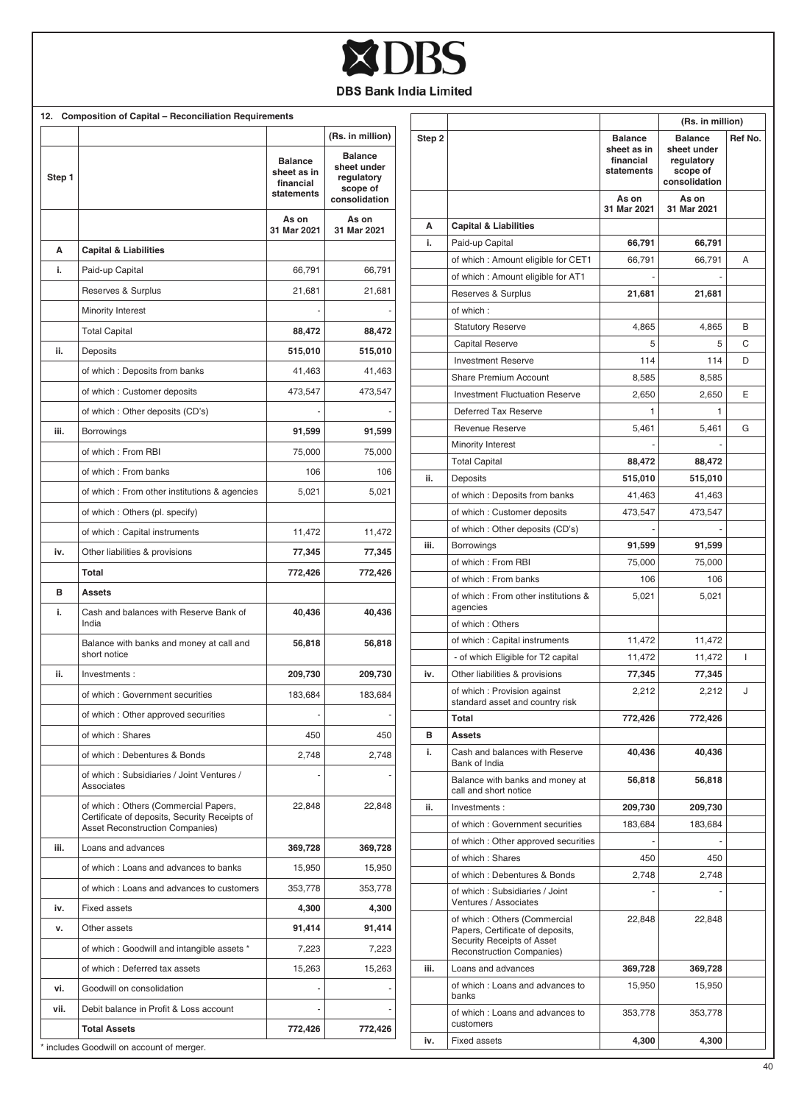

|        | 12. Composition of Capital - Reconciliation Requirements                                                                 |                                                          |                                                                          |
|--------|--------------------------------------------------------------------------------------------------------------------------|----------------------------------------------------------|--------------------------------------------------------------------------|
|        |                                                                                                                          |                                                          | (Rs. in million)                                                         |
| Step 1 |                                                                                                                          | <b>Balance</b><br>sheet as in<br>financial<br>statements | <b>Balance</b><br>sheet under<br>regulatory<br>scope of<br>consolidation |
|        |                                                                                                                          | As on<br>31 Mar 2021                                     | As on<br>31 Mar 2021                                                     |
| Α      | <b>Capital &amp; Liabilities</b>                                                                                         |                                                          |                                                                          |
| i.     | Paid-up Capital                                                                                                          | 66,791                                                   | 66,791                                                                   |
|        | Reserves & Surplus                                                                                                       | 21,681                                                   | 21,681                                                                   |
|        | Minority Interest                                                                                                        |                                                          |                                                                          |
|        | <b>Total Capital</b>                                                                                                     | 88,472                                                   | 88,472                                                                   |
| ii.    | Deposits                                                                                                                 | 515,010                                                  | 515,010                                                                  |
|        | of which: Deposits from banks                                                                                            | 41,463                                                   | 41,463                                                                   |
|        | of which : Customer deposits                                                                                             | 473,547                                                  | 473,547                                                                  |
|        | of which: Other deposits (CD's)                                                                                          |                                                          |                                                                          |
| iii.   | <b>Borrowings</b>                                                                                                        | 91,599                                                   | 91,599                                                                   |
|        | of which: From RBI                                                                                                       | 75,000                                                   | 75,000                                                                   |
|        | of which : From banks                                                                                                    | 106                                                      | 106                                                                      |
|        | of which: From other institutions & agencies                                                                             | 5,021                                                    | 5,021                                                                    |
|        | of which: Others (pl. specify)                                                                                           |                                                          |                                                                          |
|        | of which: Capital instruments                                                                                            | 11,472                                                   | 11,472                                                                   |
| iv.    | Other liabilities & provisions                                                                                           | 77,345                                                   | 77,345                                                                   |
|        | Total                                                                                                                    | 772,426                                                  | 772,426                                                                  |
| в      | Assets                                                                                                                   |                                                          |                                                                          |
| i.     | Cash and balances with Reserve Bank of<br>India                                                                          | 40,436                                                   | 40,436                                                                   |
|        | Balance with banks and money at call and<br>short notice                                                                 | 56,818                                                   | 56,818                                                                   |
| ii.    | Investments:                                                                                                             | 209,730                                                  | 209,730                                                                  |
|        | of which: Government securities                                                                                          | 183,684                                                  | 183,684                                                                  |
|        | of which : Other approved securities                                                                                     |                                                          |                                                                          |
|        | of which: Shares                                                                                                         | 450                                                      | 450                                                                      |
|        | of which: Debentures & Bonds                                                                                             | 2,748                                                    | 2,748                                                                    |
|        | of which: Subsidiaries / Joint Ventures /<br>Associates                                                                  |                                                          |                                                                          |
|        | of which: Others (Commercial Papers,<br>Certificate of deposits, Security Receipts of<br>Asset Reconstruction Companies) | 22,848                                                   | 22,848                                                                   |
| iii.   | Loans and advances                                                                                                       | 369,728                                                  | 369,728                                                                  |
|        | of which: Loans and advances to banks                                                                                    | 15,950                                                   | 15,950                                                                   |
|        | of which: Loans and advances to customers                                                                                | 353,778                                                  | 353,778                                                                  |
| iv.    | <b>Fixed assets</b>                                                                                                      | 4,300                                                    | 4,300                                                                    |
| ٧.     | Other assets                                                                                                             | 91,414                                                   | 91,414                                                                   |
|        | of which: Goodwill and intangible assets *                                                                               | 7,223                                                    | 7,223                                                                    |
|        | of which: Deferred tax assets                                                                                            | 15,263                                                   | 15,263                                                                   |
| vi.    | Goodwill on consolidation                                                                                                |                                                          |                                                                          |
| vii.   | Debit balance in Profit & Loss account                                                                                   |                                                          |                                                                          |
|        | <b>Total Assets</b>                                                                                                      | 772,426                                                  | 772,426                                                                  |

| Ref No.<br><b>Balance</b><br><b>Balance</b><br>sheet as in<br>sheet under<br>financial<br>regulatory<br>statements<br>scope of<br>consolidation<br>As on<br>As on<br>31 Mar 2021<br>31 Mar 2021<br>Α<br><b>Capital &amp; Liabilities</b><br>i.<br>Paid-up Capital<br>66,791<br>66,791<br>of which : Amount eligible for CET1<br>Α<br>66,791<br>66,791<br>of which: Amount eligible for AT1<br>Reserves & Surplus<br>21,681<br>21,681<br>of which:<br><b>Statutory Reserve</b><br>4,865<br>4,865<br>B<br>C<br>Capital Reserve<br>5<br>5<br><b>Investment Reserve</b><br>114<br>114<br>D<br>Share Premium Account<br>8,585<br>8,585<br><b>Investment Fluctuation Reserve</b><br>2,650<br>Ε<br>2,650<br>Deferred Tax Reserve<br>1<br>1<br><b>Revenue Reserve</b><br>5,461<br>5,461<br>G<br><b>Minority Interest</b><br><b>Total Capital</b><br>88,472<br>88,472<br>ii.<br>Deposits<br>515,010<br>515,010<br>of which : Deposits from banks<br>41,463<br>41,463<br>of which: Customer deposits<br>473,547<br>473,547<br>of which: Other deposits (CD's)<br>iii.<br>Borrowings<br>91,599<br>91,599<br>of which: From RBI<br>75,000<br>75,000<br>of which: From banks<br>106<br>106<br>of which: From other institutions &<br>5,021<br>5,021<br>agencies<br>of which: Others<br>of which : Capital instruments<br>11,472<br>11,472<br>T<br>- of which Eligible for T2 capital<br>11,472<br>11,472<br>iv.<br>Other liabilities & provisions<br>77,345<br>77,345<br>of which: Provision against<br>J<br>2,212<br>2,212<br>standard asset and country risk<br>Total<br>772,426<br>772,426<br>в<br><b>Assets</b><br>i.<br>Cash and balances with Reserve<br>40,436<br>40,436<br>Bank of India<br>Balance with banks and money at<br>56,818<br>56,818<br>call and short notice<br>ii.<br>Investments:<br>209,730<br>209,730<br>of which: Government securities<br>183,684<br>183,684<br>of which : Other approved securities<br>of which: Shares<br>450<br>450<br>of which: Debentures & Bonds<br>2,748<br>2,748<br>of which: Subsidiaries / Joint<br>Ventures / Associates<br>of which: Others (Commercial<br>22,848<br>22,848<br>Papers, Certificate of deposits,<br>Security Receipts of Asset<br>Reconstruction Companies)<br>iii.<br>Loans and advances<br>369,728<br>369,728<br>of which: Loans and advances to<br>15,950<br>15,950<br>banks<br>of which: Loans and advances to<br>353,778<br>353,778<br>customers<br>iv.<br><b>Fixed assets</b><br>4,300<br>4,300 |        |  | (Rs. in million) |  |
|---------------------------------------------------------------------------------------------------------------------------------------------------------------------------------------------------------------------------------------------------------------------------------------------------------------------------------------------------------------------------------------------------------------------------------------------------------------------------------------------------------------------------------------------------------------------------------------------------------------------------------------------------------------------------------------------------------------------------------------------------------------------------------------------------------------------------------------------------------------------------------------------------------------------------------------------------------------------------------------------------------------------------------------------------------------------------------------------------------------------------------------------------------------------------------------------------------------------------------------------------------------------------------------------------------------------------------------------------------------------------------------------------------------------------------------------------------------------------------------------------------------------------------------------------------------------------------------------------------------------------------------------------------------------------------------------------------------------------------------------------------------------------------------------------------------------------------------------------------------------------------------------------------------------------------------------------------------------------------------------------------------------------------------------------------------------------------------------------------------------------------------------------------------------------------------------------------------------------------------------------------------------------------------------------------------------------------------------------------------------------------------------------------------------------------------------------------------|--------|--|------------------|--|
|                                                                                                                                                                                                                                                                                                                                                                                                                                                                                                                                                                                                                                                                                                                                                                                                                                                                                                                                                                                                                                                                                                                                                                                                                                                                                                                                                                                                                                                                                                                                                                                                                                                                                                                                                                                                                                                                                                                                                                                                                                                                                                                                                                                                                                                                                                                                                                                                                                                               | Step 2 |  |                  |  |
|                                                                                                                                                                                                                                                                                                                                                                                                                                                                                                                                                                                                                                                                                                                                                                                                                                                                                                                                                                                                                                                                                                                                                                                                                                                                                                                                                                                                                                                                                                                                                                                                                                                                                                                                                                                                                                                                                                                                                                                                                                                                                                                                                                                                                                                                                                                                                                                                                                                               |        |  |                  |  |
|                                                                                                                                                                                                                                                                                                                                                                                                                                                                                                                                                                                                                                                                                                                                                                                                                                                                                                                                                                                                                                                                                                                                                                                                                                                                                                                                                                                                                                                                                                                                                                                                                                                                                                                                                                                                                                                                                                                                                                                                                                                                                                                                                                                                                                                                                                                                                                                                                                                               |        |  |                  |  |
|                                                                                                                                                                                                                                                                                                                                                                                                                                                                                                                                                                                                                                                                                                                                                                                                                                                                                                                                                                                                                                                                                                                                                                                                                                                                                                                                                                                                                                                                                                                                                                                                                                                                                                                                                                                                                                                                                                                                                                                                                                                                                                                                                                                                                                                                                                                                                                                                                                                               |        |  |                  |  |
|                                                                                                                                                                                                                                                                                                                                                                                                                                                                                                                                                                                                                                                                                                                                                                                                                                                                                                                                                                                                                                                                                                                                                                                                                                                                                                                                                                                                                                                                                                                                                                                                                                                                                                                                                                                                                                                                                                                                                                                                                                                                                                                                                                                                                                                                                                                                                                                                                                                               |        |  |                  |  |
|                                                                                                                                                                                                                                                                                                                                                                                                                                                                                                                                                                                                                                                                                                                                                                                                                                                                                                                                                                                                                                                                                                                                                                                                                                                                                                                                                                                                                                                                                                                                                                                                                                                                                                                                                                                                                                                                                                                                                                                                                                                                                                                                                                                                                                                                                                                                                                                                                                                               |        |  |                  |  |
|                                                                                                                                                                                                                                                                                                                                                                                                                                                                                                                                                                                                                                                                                                                                                                                                                                                                                                                                                                                                                                                                                                                                                                                                                                                                                                                                                                                                                                                                                                                                                                                                                                                                                                                                                                                                                                                                                                                                                                                                                                                                                                                                                                                                                                                                                                                                                                                                                                                               |        |  |                  |  |
|                                                                                                                                                                                                                                                                                                                                                                                                                                                                                                                                                                                                                                                                                                                                                                                                                                                                                                                                                                                                                                                                                                                                                                                                                                                                                                                                                                                                                                                                                                                                                                                                                                                                                                                                                                                                                                                                                                                                                                                                                                                                                                                                                                                                                                                                                                                                                                                                                                                               |        |  |                  |  |
|                                                                                                                                                                                                                                                                                                                                                                                                                                                                                                                                                                                                                                                                                                                                                                                                                                                                                                                                                                                                                                                                                                                                                                                                                                                                                                                                                                                                                                                                                                                                                                                                                                                                                                                                                                                                                                                                                                                                                                                                                                                                                                                                                                                                                                                                                                                                                                                                                                                               |        |  |                  |  |
|                                                                                                                                                                                                                                                                                                                                                                                                                                                                                                                                                                                                                                                                                                                                                                                                                                                                                                                                                                                                                                                                                                                                                                                                                                                                                                                                                                                                                                                                                                                                                                                                                                                                                                                                                                                                                                                                                                                                                                                                                                                                                                                                                                                                                                                                                                                                                                                                                                                               |        |  |                  |  |
|                                                                                                                                                                                                                                                                                                                                                                                                                                                                                                                                                                                                                                                                                                                                                                                                                                                                                                                                                                                                                                                                                                                                                                                                                                                                                                                                                                                                                                                                                                                                                                                                                                                                                                                                                                                                                                                                                                                                                                                                                                                                                                                                                                                                                                                                                                                                                                                                                                                               |        |  |                  |  |
|                                                                                                                                                                                                                                                                                                                                                                                                                                                                                                                                                                                                                                                                                                                                                                                                                                                                                                                                                                                                                                                                                                                                                                                                                                                                                                                                                                                                                                                                                                                                                                                                                                                                                                                                                                                                                                                                                                                                                                                                                                                                                                                                                                                                                                                                                                                                                                                                                                                               |        |  |                  |  |
|                                                                                                                                                                                                                                                                                                                                                                                                                                                                                                                                                                                                                                                                                                                                                                                                                                                                                                                                                                                                                                                                                                                                                                                                                                                                                                                                                                                                                                                                                                                                                                                                                                                                                                                                                                                                                                                                                                                                                                                                                                                                                                                                                                                                                                                                                                                                                                                                                                                               |        |  |                  |  |
|                                                                                                                                                                                                                                                                                                                                                                                                                                                                                                                                                                                                                                                                                                                                                                                                                                                                                                                                                                                                                                                                                                                                                                                                                                                                                                                                                                                                                                                                                                                                                                                                                                                                                                                                                                                                                                                                                                                                                                                                                                                                                                                                                                                                                                                                                                                                                                                                                                                               |        |  |                  |  |
|                                                                                                                                                                                                                                                                                                                                                                                                                                                                                                                                                                                                                                                                                                                                                                                                                                                                                                                                                                                                                                                                                                                                                                                                                                                                                                                                                                                                                                                                                                                                                                                                                                                                                                                                                                                                                                                                                                                                                                                                                                                                                                                                                                                                                                                                                                                                                                                                                                                               |        |  |                  |  |
|                                                                                                                                                                                                                                                                                                                                                                                                                                                                                                                                                                                                                                                                                                                                                                                                                                                                                                                                                                                                                                                                                                                                                                                                                                                                                                                                                                                                                                                                                                                                                                                                                                                                                                                                                                                                                                                                                                                                                                                                                                                                                                                                                                                                                                                                                                                                                                                                                                                               |        |  |                  |  |
|                                                                                                                                                                                                                                                                                                                                                                                                                                                                                                                                                                                                                                                                                                                                                                                                                                                                                                                                                                                                                                                                                                                                                                                                                                                                                                                                                                                                                                                                                                                                                                                                                                                                                                                                                                                                                                                                                                                                                                                                                                                                                                                                                                                                                                                                                                                                                                                                                                                               |        |  |                  |  |
|                                                                                                                                                                                                                                                                                                                                                                                                                                                                                                                                                                                                                                                                                                                                                                                                                                                                                                                                                                                                                                                                                                                                                                                                                                                                                                                                                                                                                                                                                                                                                                                                                                                                                                                                                                                                                                                                                                                                                                                                                                                                                                                                                                                                                                                                                                                                                                                                                                                               |        |  |                  |  |
|                                                                                                                                                                                                                                                                                                                                                                                                                                                                                                                                                                                                                                                                                                                                                                                                                                                                                                                                                                                                                                                                                                                                                                                                                                                                                                                                                                                                                                                                                                                                                                                                                                                                                                                                                                                                                                                                                                                                                                                                                                                                                                                                                                                                                                                                                                                                                                                                                                                               |        |  |                  |  |
|                                                                                                                                                                                                                                                                                                                                                                                                                                                                                                                                                                                                                                                                                                                                                                                                                                                                                                                                                                                                                                                                                                                                                                                                                                                                                                                                                                                                                                                                                                                                                                                                                                                                                                                                                                                                                                                                                                                                                                                                                                                                                                                                                                                                                                                                                                                                                                                                                                                               |        |  |                  |  |
|                                                                                                                                                                                                                                                                                                                                                                                                                                                                                                                                                                                                                                                                                                                                                                                                                                                                                                                                                                                                                                                                                                                                                                                                                                                                                                                                                                                                                                                                                                                                                                                                                                                                                                                                                                                                                                                                                                                                                                                                                                                                                                                                                                                                                                                                                                                                                                                                                                                               |        |  |                  |  |
|                                                                                                                                                                                                                                                                                                                                                                                                                                                                                                                                                                                                                                                                                                                                                                                                                                                                                                                                                                                                                                                                                                                                                                                                                                                                                                                                                                                                                                                                                                                                                                                                                                                                                                                                                                                                                                                                                                                                                                                                                                                                                                                                                                                                                                                                                                                                                                                                                                                               |        |  |                  |  |
|                                                                                                                                                                                                                                                                                                                                                                                                                                                                                                                                                                                                                                                                                                                                                                                                                                                                                                                                                                                                                                                                                                                                                                                                                                                                                                                                                                                                                                                                                                                                                                                                                                                                                                                                                                                                                                                                                                                                                                                                                                                                                                                                                                                                                                                                                                                                                                                                                                                               |        |  |                  |  |
|                                                                                                                                                                                                                                                                                                                                                                                                                                                                                                                                                                                                                                                                                                                                                                                                                                                                                                                                                                                                                                                                                                                                                                                                                                                                                                                                                                                                                                                                                                                                                                                                                                                                                                                                                                                                                                                                                                                                                                                                                                                                                                                                                                                                                                                                                                                                                                                                                                                               |        |  |                  |  |
|                                                                                                                                                                                                                                                                                                                                                                                                                                                                                                                                                                                                                                                                                                                                                                                                                                                                                                                                                                                                                                                                                                                                                                                                                                                                                                                                                                                                                                                                                                                                                                                                                                                                                                                                                                                                                                                                                                                                                                                                                                                                                                                                                                                                                                                                                                                                                                                                                                                               |        |  |                  |  |
|                                                                                                                                                                                                                                                                                                                                                                                                                                                                                                                                                                                                                                                                                                                                                                                                                                                                                                                                                                                                                                                                                                                                                                                                                                                                                                                                                                                                                                                                                                                                                                                                                                                                                                                                                                                                                                                                                                                                                                                                                                                                                                                                                                                                                                                                                                                                                                                                                                                               |        |  |                  |  |
|                                                                                                                                                                                                                                                                                                                                                                                                                                                                                                                                                                                                                                                                                                                                                                                                                                                                                                                                                                                                                                                                                                                                                                                                                                                                                                                                                                                                                                                                                                                                                                                                                                                                                                                                                                                                                                                                                                                                                                                                                                                                                                                                                                                                                                                                                                                                                                                                                                                               |        |  |                  |  |
|                                                                                                                                                                                                                                                                                                                                                                                                                                                                                                                                                                                                                                                                                                                                                                                                                                                                                                                                                                                                                                                                                                                                                                                                                                                                                                                                                                                                                                                                                                                                                                                                                                                                                                                                                                                                                                                                                                                                                                                                                                                                                                                                                                                                                                                                                                                                                                                                                                                               |        |  |                  |  |
|                                                                                                                                                                                                                                                                                                                                                                                                                                                                                                                                                                                                                                                                                                                                                                                                                                                                                                                                                                                                                                                                                                                                                                                                                                                                                                                                                                                                                                                                                                                                                                                                                                                                                                                                                                                                                                                                                                                                                                                                                                                                                                                                                                                                                                                                                                                                                                                                                                                               |        |  |                  |  |
|                                                                                                                                                                                                                                                                                                                                                                                                                                                                                                                                                                                                                                                                                                                                                                                                                                                                                                                                                                                                                                                                                                                                                                                                                                                                                                                                                                                                                                                                                                                                                                                                                                                                                                                                                                                                                                                                                                                                                                                                                                                                                                                                                                                                                                                                                                                                                                                                                                                               |        |  |                  |  |
|                                                                                                                                                                                                                                                                                                                                                                                                                                                                                                                                                                                                                                                                                                                                                                                                                                                                                                                                                                                                                                                                                                                                                                                                                                                                                                                                                                                                                                                                                                                                                                                                                                                                                                                                                                                                                                                                                                                                                                                                                                                                                                                                                                                                                                                                                                                                                                                                                                                               |        |  |                  |  |
|                                                                                                                                                                                                                                                                                                                                                                                                                                                                                                                                                                                                                                                                                                                                                                                                                                                                                                                                                                                                                                                                                                                                                                                                                                                                                                                                                                                                                                                                                                                                                                                                                                                                                                                                                                                                                                                                                                                                                                                                                                                                                                                                                                                                                                                                                                                                                                                                                                                               |        |  |                  |  |
|                                                                                                                                                                                                                                                                                                                                                                                                                                                                                                                                                                                                                                                                                                                                                                                                                                                                                                                                                                                                                                                                                                                                                                                                                                                                                                                                                                                                                                                                                                                                                                                                                                                                                                                                                                                                                                                                                                                                                                                                                                                                                                                                                                                                                                                                                                                                                                                                                                                               |        |  |                  |  |
|                                                                                                                                                                                                                                                                                                                                                                                                                                                                                                                                                                                                                                                                                                                                                                                                                                                                                                                                                                                                                                                                                                                                                                                                                                                                                                                                                                                                                                                                                                                                                                                                                                                                                                                                                                                                                                                                                                                                                                                                                                                                                                                                                                                                                                                                                                                                                                                                                                                               |        |  |                  |  |
|                                                                                                                                                                                                                                                                                                                                                                                                                                                                                                                                                                                                                                                                                                                                                                                                                                                                                                                                                                                                                                                                                                                                                                                                                                                                                                                                                                                                                                                                                                                                                                                                                                                                                                                                                                                                                                                                                                                                                                                                                                                                                                                                                                                                                                                                                                                                                                                                                                                               |        |  |                  |  |
|                                                                                                                                                                                                                                                                                                                                                                                                                                                                                                                                                                                                                                                                                                                                                                                                                                                                                                                                                                                                                                                                                                                                                                                                                                                                                                                                                                                                                                                                                                                                                                                                                                                                                                                                                                                                                                                                                                                                                                                                                                                                                                                                                                                                                                                                                                                                                                                                                                                               |        |  |                  |  |
|                                                                                                                                                                                                                                                                                                                                                                                                                                                                                                                                                                                                                                                                                                                                                                                                                                                                                                                                                                                                                                                                                                                                                                                                                                                                                                                                                                                                                                                                                                                                                                                                                                                                                                                                                                                                                                                                                                                                                                                                                                                                                                                                                                                                                                                                                                                                                                                                                                                               |        |  |                  |  |
|                                                                                                                                                                                                                                                                                                                                                                                                                                                                                                                                                                                                                                                                                                                                                                                                                                                                                                                                                                                                                                                                                                                                                                                                                                                                                                                                                                                                                                                                                                                                                                                                                                                                                                                                                                                                                                                                                                                                                                                                                                                                                                                                                                                                                                                                                                                                                                                                                                                               |        |  |                  |  |
|                                                                                                                                                                                                                                                                                                                                                                                                                                                                                                                                                                                                                                                                                                                                                                                                                                                                                                                                                                                                                                                                                                                                                                                                                                                                                                                                                                                                                                                                                                                                                                                                                                                                                                                                                                                                                                                                                                                                                                                                                                                                                                                                                                                                                                                                                                                                                                                                                                                               |        |  |                  |  |
|                                                                                                                                                                                                                                                                                                                                                                                                                                                                                                                                                                                                                                                                                                                                                                                                                                                                                                                                                                                                                                                                                                                                                                                                                                                                                                                                                                                                                                                                                                                                                                                                                                                                                                                                                                                                                                                                                                                                                                                                                                                                                                                                                                                                                                                                                                                                                                                                                                                               |        |  |                  |  |
|                                                                                                                                                                                                                                                                                                                                                                                                                                                                                                                                                                                                                                                                                                                                                                                                                                                                                                                                                                                                                                                                                                                                                                                                                                                                                                                                                                                                                                                                                                                                                                                                                                                                                                                                                                                                                                                                                                                                                                                                                                                                                                                                                                                                                                                                                                                                                                                                                                                               |        |  |                  |  |
|                                                                                                                                                                                                                                                                                                                                                                                                                                                                                                                                                                                                                                                                                                                                                                                                                                                                                                                                                                                                                                                                                                                                                                                                                                                                                                                                                                                                                                                                                                                                                                                                                                                                                                                                                                                                                                                                                                                                                                                                                                                                                                                                                                                                                                                                                                                                                                                                                                                               |        |  |                  |  |
|                                                                                                                                                                                                                                                                                                                                                                                                                                                                                                                                                                                                                                                                                                                                                                                                                                                                                                                                                                                                                                                                                                                                                                                                                                                                                                                                                                                                                                                                                                                                                                                                                                                                                                                                                                                                                                                                                                                                                                                                                                                                                                                                                                                                                                                                                                                                                                                                                                                               |        |  |                  |  |
|                                                                                                                                                                                                                                                                                                                                                                                                                                                                                                                                                                                                                                                                                                                                                                                                                                                                                                                                                                                                                                                                                                                                                                                                                                                                                                                                                                                                                                                                                                                                                                                                                                                                                                                                                                                                                                                                                                                                                                                                                                                                                                                                                                                                                                                                                                                                                                                                                                                               |        |  |                  |  |
|                                                                                                                                                                                                                                                                                                                                                                                                                                                                                                                                                                                                                                                                                                                                                                                                                                                                                                                                                                                                                                                                                                                                                                                                                                                                                                                                                                                                                                                                                                                                                                                                                                                                                                                                                                                                                                                                                                                                                                                                                                                                                                                                                                                                                                                                                                                                                                                                                                                               |        |  |                  |  |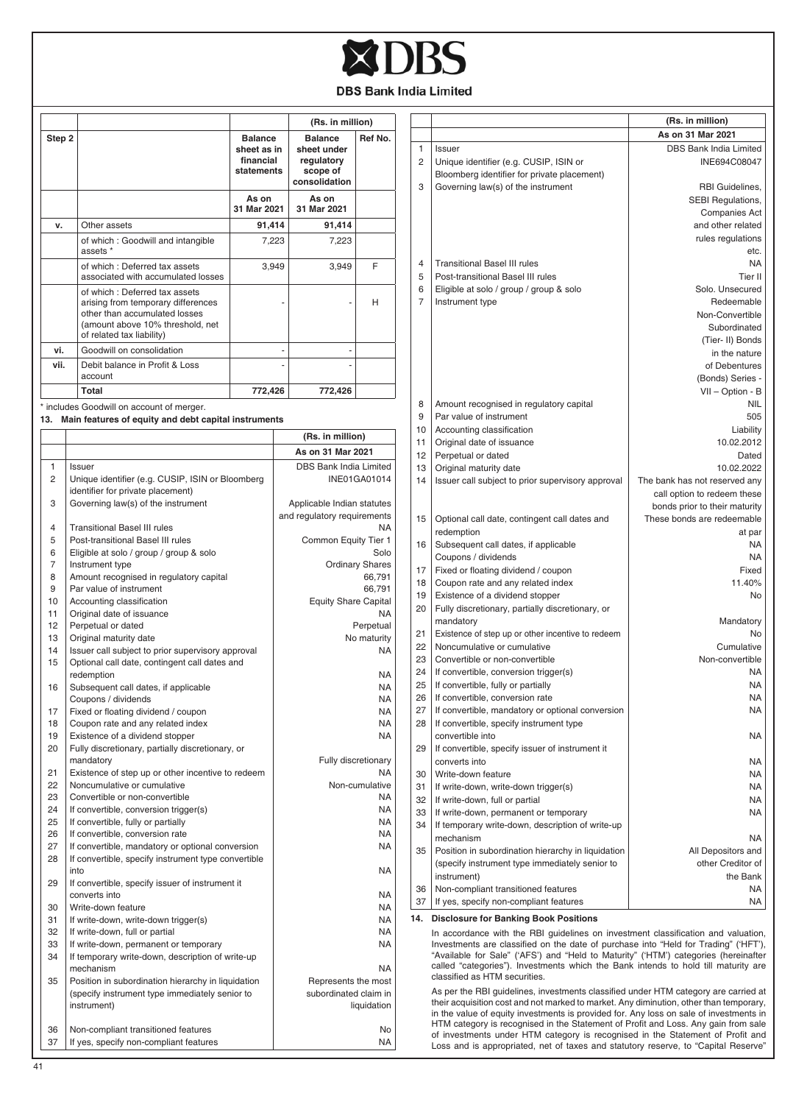

|          |                                                                                                                                                                       |                                                          |       | (Rs. in million)                                                         |                        |
|----------|-----------------------------------------------------------------------------------------------------------------------------------------------------------------------|----------------------------------------------------------|-------|--------------------------------------------------------------------------|------------------------|
| Step 2   |                                                                                                                                                                       | <b>Balance</b><br>sheet as in<br>financial<br>statements |       | <b>Balance</b><br>sheet under<br>regulatory<br>scope of<br>consolidation | Ref No.                |
|          |                                                                                                                                                                       | As on<br>31 Mar 2021                                     |       | As on<br>31 Mar 2021                                                     |                        |
| v.       | Other assets                                                                                                                                                          | 91,414                                                   |       | 91,414                                                                   |                        |
|          | of which: Goodwill and intangible                                                                                                                                     |                                                          | 7,223 | 7,223                                                                    |                        |
|          | assets *<br>of which: Deferred tax assets                                                                                                                             |                                                          | 3,949 | 3,949                                                                    | F                      |
|          | associated with accumulated losses                                                                                                                                    |                                                          |       |                                                                          |                        |
|          | of which: Deferred tax assets<br>arising from temporary differences<br>other than accumulated losses<br>(amount above 10% threshold, net<br>of related tax liability) |                                                          |       |                                                                          | H                      |
| vi.      | Goodwill on consolidation                                                                                                                                             |                                                          |       |                                                                          |                        |
| vii.     | Debit balance in Profit & Loss<br>account                                                                                                                             |                                                          |       |                                                                          |                        |
|          | Total                                                                                                                                                                 | 772,426                                                  |       | 772,426                                                                  |                        |
|          | * includes Goodwill on account of merger.                                                                                                                             |                                                          |       |                                                                          |                        |
| 13.      | Main features of equity and debt capital instruments                                                                                                                  |                                                          |       |                                                                          |                        |
|          |                                                                                                                                                                       |                                                          |       | (Rs. in million)                                                         |                        |
|          |                                                                                                                                                                       |                                                          |       | As on 31 Mar 2021                                                        |                        |
| 1        | Issuer                                                                                                                                                                |                                                          |       | DBS Bank India Limited                                                   |                        |
| 2        | Unique identifier (e.g. CUSIP, ISIN or Bloomberg                                                                                                                      |                                                          |       |                                                                          | <b>INE01GA01014</b>    |
|          | identifier for private placement)                                                                                                                                     |                                                          |       |                                                                          |                        |
| 3        | Governing law(s) of the instrument                                                                                                                                    |                                                          |       | Applicable Indian statutes                                               |                        |
|          |                                                                                                                                                                       |                                                          |       | and regulatory requirements                                              |                        |
| 4        | <b>Transitional Basel III rules</b>                                                                                                                                   |                                                          |       |                                                                          | NA                     |
| 5        | Post-transitional Basel III rules                                                                                                                                     |                                                          |       | Common Equity Tier 1                                                     |                        |
| 6        | Eligible at solo / group / group & solo                                                                                                                               |                                                          |       |                                                                          | Solo                   |
| 7        | Instrument type                                                                                                                                                       |                                                          |       |                                                                          | <b>Ordinary Shares</b> |
| 8<br>9   | Amount recognised in regulatory capital<br>Par value of instrument                                                                                                    |                                                          |       |                                                                          | 66,791<br>66,791       |
| 10       | Accounting classification                                                                                                                                             |                                                          |       | <b>Equity Share Capital</b>                                              |                        |
| 11       | Original date of issuance                                                                                                                                             |                                                          |       |                                                                          | NA                     |
| 12       | Perpetual or dated                                                                                                                                                    |                                                          |       |                                                                          | Perpetual              |
| 13       | Original maturity date                                                                                                                                                |                                                          |       |                                                                          | No maturity            |
| 14       | Issuer call subject to prior supervisory approval                                                                                                                     |                                                          |       |                                                                          | <b>NA</b>              |
| 15       | Optional call date, contingent call dates and                                                                                                                         |                                                          |       |                                                                          |                        |
|          | redemption                                                                                                                                                            |                                                          |       |                                                                          | <b>NA</b>              |
| 16       | Subsequent call dates, if applicable                                                                                                                                  |                                                          |       |                                                                          | NA                     |
| 17       | Coupons / dividends                                                                                                                                                   |                                                          |       |                                                                          | <b>NA</b><br><b>NA</b> |
| 18       | Fixed or floating dividend / coupon<br>Coupon rate and any related index                                                                                              |                                                          |       |                                                                          | <b>NA</b>              |
| 19       | Existence of a dividend stopper                                                                                                                                       |                                                          |       |                                                                          | NA                     |
| 20       | Fully discretionary, partially discretionary, or                                                                                                                      |                                                          |       |                                                                          |                        |
|          | mandatory                                                                                                                                                             |                                                          |       | Fully discretionary                                                      |                        |
| 21       | Existence of step up or other incentive to redeem                                                                                                                     |                                                          |       |                                                                          | NΔ                     |
| 22       | Noncumulative or cumulative                                                                                                                                           |                                                          |       |                                                                          | Non-cumulative         |
| 23       | Convertible or non-convertible                                                                                                                                        |                                                          |       |                                                                          | NA                     |
| 24<br>25 | If convertible, conversion trigger(s)                                                                                                                                 |                                                          |       |                                                                          | NA.<br>NA              |
| 26       | If convertible, fully or partially<br>If convertible, conversion rate                                                                                                 |                                                          |       |                                                                          | <b>NA</b>              |
| 27       | If convertible, mandatory or optional conversion                                                                                                                      |                                                          |       |                                                                          | NA                     |
| 28       | If convertible, specify instrument type convertible                                                                                                                   |                                                          |       |                                                                          |                        |
| 29       | into<br>If convertible, specify issuer of instrument it                                                                                                               |                                                          |       |                                                                          | NA                     |
|          | converts into                                                                                                                                                         |                                                          |       |                                                                          | NA                     |
| 30       | Write-down feature                                                                                                                                                    |                                                          |       |                                                                          | NA.                    |
| 31       | If write-down, write-down trigger(s)                                                                                                                                  |                                                          |       |                                                                          | NA                     |
| 32<br>33 | If write-down, full or partial<br>If write-down, permanent or temporary                                                                                               |                                                          |       |                                                                          | <b>NA</b><br>NA        |
| 34       | If temporary write-down, description of write-up                                                                                                                      |                                                          |       |                                                                          |                        |
|          | mechanism                                                                                                                                                             |                                                          |       |                                                                          | NA                     |
| 35       | Position in subordination hierarchy in liquidation<br>(specify instrument type immediately senior to<br>instrument)                                                   |                                                          |       | Represents the most<br>subordinated claim in                             | liquidation            |
| 36       | Non-compliant transitioned features                                                                                                                                   |                                                          |       |                                                                          | No                     |
| 37       | If yes, specify non-compliant features                                                                                                                                |                                                          |       |                                                                          | <b>NA</b>              |

|                |                                                                                                                                                                         | (Rs. in million)              |
|----------------|-------------------------------------------------------------------------------------------------------------------------------------------------------------------------|-------------------------------|
|                |                                                                                                                                                                         | As on 31 Mar 2021             |
| 1              | Issuer                                                                                                                                                                  | DBS Bank India Limited        |
| 2              | Unique identifier (e.g. CUSIP, ISIN or                                                                                                                                  | INE694C08047                  |
|                | Bloomberg identifier for private placement)                                                                                                                             |                               |
| 3              | Governing law(s) of the instrument                                                                                                                                      | RBI Guidelines,               |
|                |                                                                                                                                                                         | SEBI Regulations,             |
|                |                                                                                                                                                                         | <b>Companies Act</b>          |
|                |                                                                                                                                                                         | and other related             |
|                |                                                                                                                                                                         |                               |
|                |                                                                                                                                                                         | rules regulations             |
|                |                                                                                                                                                                         | etc.                          |
| $\overline{4}$ | <b>Transitional Basel III rules</b>                                                                                                                                     | <b>NA</b>                     |
| 5              | Post-transitional Basel III rules                                                                                                                                       | Tier II                       |
| 6              | Eligible at solo / group / group & solo                                                                                                                                 | Solo, Unsecured               |
| 7              | Instrument type                                                                                                                                                         | Redeemable                    |
|                |                                                                                                                                                                         | Non-Convertible               |
|                |                                                                                                                                                                         | Subordinated                  |
|                |                                                                                                                                                                         | (Tier-II) Bonds               |
|                |                                                                                                                                                                         | in the nature                 |
|                |                                                                                                                                                                         | of Debentures                 |
|                |                                                                                                                                                                         | (Bonds) Series -              |
|                |                                                                                                                                                                         | VII - Option - B              |
| 8              | Amount recognised in regulatory capital                                                                                                                                 | <b>NIL</b>                    |
| 9              | Par value of instrument                                                                                                                                                 | 505                           |
|                |                                                                                                                                                                         |                               |
| 10             | Accounting classification                                                                                                                                               | Liability                     |
| 11             | Original date of issuance                                                                                                                                               | 10.02.2012                    |
| 12             | Perpetual or dated                                                                                                                                                      | Dated                         |
| 13             | Original maturity date                                                                                                                                                  | 10.02.2022                    |
| 14             | Issuer call subject to prior supervisory approval                                                                                                                       | The bank has not reserved any |
|                |                                                                                                                                                                         | call option to redeem these   |
|                |                                                                                                                                                                         | bonds prior to their maturity |
| 15             | Optional call date, contingent call dates and                                                                                                                           | These bonds are redeemable    |
|                | redemption                                                                                                                                                              | at par                        |
| 16             | Subsequent call dates, if applicable                                                                                                                                    | <b>NA</b>                     |
|                | Coupons / dividends                                                                                                                                                     | NA                            |
| 17             | Fixed or floating dividend / coupon                                                                                                                                     | Fixed                         |
| 18             | Coupon rate and any related index                                                                                                                                       | 11.40%                        |
| 19             | Existence of a dividend stopper                                                                                                                                         | No                            |
| 20             | Fully discretionary, partially discretionary, or                                                                                                                        |                               |
|                | mandatory                                                                                                                                                               | Mandatory                     |
|                |                                                                                                                                                                         |                               |
| 21             | Existence of step up or other incentive to redeem                                                                                                                       | No.                           |
| 22             | Noncumulative or cumulative                                                                                                                                             | Cumulative                    |
| 23             | Convertible or non-convertible                                                                                                                                          | Non-convertible               |
| 24             | If convertible, conversion trigger(s)                                                                                                                                   | NA                            |
| 25             | If convertible, fully or partially                                                                                                                                      | NA                            |
| 26             | If convertible, conversion rate                                                                                                                                         | <b>NA</b>                     |
| 27             | If convertible, mandatory or optional conversion                                                                                                                        | NA                            |
| 28             | If convertible, specify instrument type                                                                                                                                 |                               |
|                | convertible into                                                                                                                                                        | NA                            |
| 29             | If convertible, specify issuer of instrument it                                                                                                                         |                               |
|                | converts into                                                                                                                                                           | NA                            |
| 30             | Write-down feature                                                                                                                                                      | NA                            |
| 31             | If write-down, write-down trigger(s)                                                                                                                                    | NA                            |
| 32             | If write-down, full or partial                                                                                                                                          | NA                            |
| 33             | If write-down, permanent or temporary                                                                                                                                   | NA                            |
|                |                                                                                                                                                                         |                               |
| 34             | If temporary write-down, description of write-up                                                                                                                        |                               |
|                | mechanism                                                                                                                                                               | NA                            |
| 35             | Position in subordination hierarchy in liquidation                                                                                                                      | All Depositors and            |
|                | (specify instrument type immediately senior to                                                                                                                          | other Creditor of             |
|                | instrument)                                                                                                                                                             | the Bank                      |
| 36             | Non-compliant transitioned features                                                                                                                                     | NA                            |
| 37             | If yes, specify non-compliant features                                                                                                                                  | NA                            |
| 14.            | <b>Disclosure for Banking Book Positions</b>                                                                                                                            |                               |
|                |                                                                                                                                                                         |                               |
|                | In accordance with the RBI guidelines on investment classification and valuation.<br>Investments are classified on the date of purchase into "Held for Trading" ('HFT') |                               |
|                |                                                                                                                                                                         |                               |

In accordance with the RBI guidelines on investment classification and valuation, Investments are classified on the date of purchase into "Held for Trading" ('HFT'), "Available for Sale" ('AFS') and "Held to Maturity" ('HT

As per the RBI guidelines, investments classified under HTM category are carried at their acquisition cost and not marked to market. Any diminution, other than temporary, in the value of equity investments is provided for.